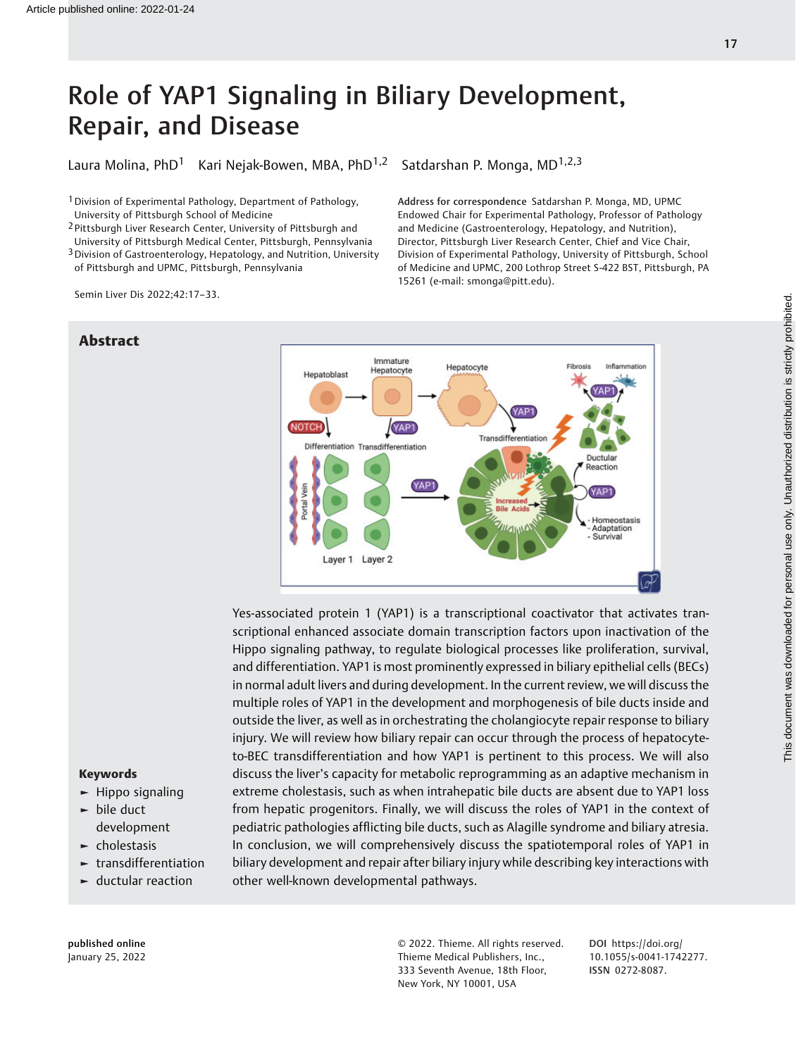# Role of YAP1 Signaling in Biliary Development, Repair, and Disease

Laura Molina, PhD<sup>1</sup> Kari Nejak-Bowen, MBA, PhD<sup>1,2</sup> Satdarshan P. Monga, MD<sup>1,2,3</sup>

<sup>1</sup> Division of Experimental Pathology, Department of Pathology, University of Pittsburgh School of Medicine

2 Pittsburgh Liver Research Center, University of Pittsburgh and

University of Pittsburgh Medical Center, Pittsburgh, Pennsylvania 3Division of Gastroenterology, Hepatology, and Nutrition, University of Pittsburgh and UPMC, Pittsburgh, Pennsylvania

Semin Liver Dis 2022;42:17–33.

Abstract

Address for correspondence Satdarshan P. Monga, MD, UPMC Endowed Chair for Experimental Pathology, Professor of Pathology and Medicine (Gastroenterology, Hepatology, and Nutrition), Director, Pittsburgh Liver Research Center, Chief and Vice Chair, Division of Experimental Pathology, University of Pittsburgh, School of Medicine and UPMC, 200 Lothrop Street S-422 BST, Pittsburgh, PA 15261 (e-mail: [smonga@pitt.edu\)](mailto:smonga@pitt.edu).



# Yes-associated protein 1 (YAP1) is a transcriptional coactivator that activates transcriptional enhanced associate domain transcription factors upon inactivation of the Hippo signaling pathway, to regulate biological processes like proliferation, survival, and differentiation. YAP1 is most prominently expressed in biliary epithelial cells (BECs) in normal adult livers and during development. In the current review, we will discuss the multiple roles of YAP1 in the development and morphogenesis of bile ducts inside and outside the liver, as well as in orchestrating the cholangiocyte repair response to biliary injury. We will review how biliary repair can occur through the process of hepatocyteto-BEC transdifferentiation and how YAP1 is pertinent to this process. We will also discuss the liver's capacity for metabolic reprogramming as an adaptive mechanism in extreme cholestasis, such as when intrahepatic bile ducts are absent due to YAP1 loss from hepatic progenitors. Finally, we will discuss the roles of YAP1 in the context of pediatric pathologies afflicting bile ducts, such as Alagille syndrome and biliary atresia. In conclusion, we will comprehensively discuss the spatiotemporal roles of YAP1 in biliary development and repair after biliary injury while describing key interactions with other well-known developmental pathways.

#### Keywords

- ► Hippo signaling
- ► bile duct development
- $\blacktriangleright$  cholestasis
- ► transdifferentiation
- $\blacktriangleright$  ductular reaction

published online January 25, 2022 © 2022. Thieme. All rights reserved. Thieme Medical Publishers, Inc., 333 Seventh Avenue, 18th Floor, New York, NY 10001, USA

DOI [https://doi.org/](https://doi.org/10.1055/s-0041-1742277) [10.1055/s-0041-1742277](https://doi.org/10.1055/s-0041-1742277). ISSN 0272-8087.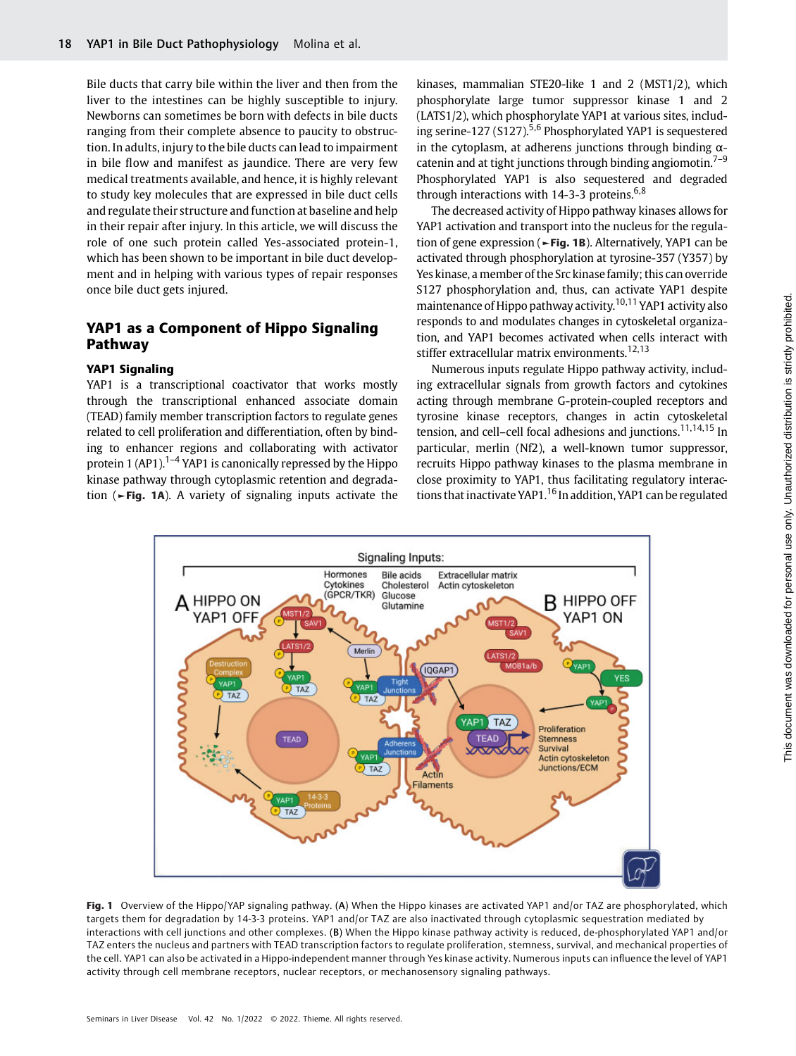Bile ducts that carry bile within the liver and then from the liver to the intestines can be highly susceptible to injury. Newborns can sometimes be born with defects in bile ducts ranging from their complete absence to paucity to obstruction. In adults, injury to the bile ducts can lead to impairment in bile flow and manifest as jaundice. There are very few medical treatments available, and hence, it is highly relevant to study key molecules that are expressed in bile duct cells and regulate their structure and function at baseline and help in their repair after injury. In this article, we will discuss the role of one such protein called Yes-associated protein-1, which has been shown to be important in bile duct development and in helping with various types of repair responses once bile duct gets injured.

# YAP1 as a Component of Hippo Signaling Pathway

# YAP1 Signaling

YAP1 is a transcriptional coactivator that works mostly through the transcriptional enhanced associate domain (TEAD) family member transcription factors to regulate genes related to cell proliferation and differentiation, often by binding to enhancer regions and collaborating with activator protein 1 (AP1).<sup>1–4</sup> YAP1 is canonically repressed by the Hippo kinase pathway through cytoplasmic retention and degradation (►Fig. 1A). A variety of signaling inputs activate the kinases, mammalian STE20-like 1 and 2 (MST1/2), which phosphorylate large tumor suppressor kinase 1 and 2 (LATS1/2), which phosphorylate YAP1 at various sites, including serine-127 (S127).<sup>5,6</sup> Phosphorylated YAP1 is sequestered in the cytoplasm, at adherens junctions through binding  $\alpha$ catenin and at tight junctions through binding angiomotin.<sup>7-9</sup> Phosphorylated YAP1 is also sequestered and degraded through interactions with 14-3-3 proteins.<sup>6,8</sup>

The decreased activity of Hippo pathway kinases allows for YAP1 activation and transport into the nucleus for the regulation of gene expression ( $\blacktriangleright$  Fig. 1B). Alternatively, YAP1 can be activated through phosphorylation at tyrosine-357 (Y357) by Yes kinase, a member of the Src kinase family; this can override S127 phosphorylation and, thus, can activate YAP1 despite maintenance of Hippo pathway activity.10,11 YAP1 activity also responds to and modulates changes in cytoskeletal organization, and YAP1 becomes activated when cells interact with stiffer extracellular matrix environments.<sup>12,13</sup>

Numerous inputs regulate Hippo pathway activity, including extracellular signals from growth factors and cytokines acting through membrane G-protein-coupled receptors and tyrosine kinase receptors, changes in actin cytoskeletal tension, and cell-cell focal adhesions and junctions.<sup>11,14,15</sup> In particular, merlin (Nf2), a well-known tumor suppressor, recruits Hippo pathway kinases to the plasma membrane in close proximity to YAP1, thus facilitating regulatory interactions that inactivate YAP1.<sup>16</sup> In addition, YAP1 can be regulated



Fig. 1 Overview of the Hippo/YAP signaling pathway. (A) When the Hippo kinases are activated YAP1 and/or TAZ are phosphorylated, which targets them for degradation by 14-3-3 proteins. YAP1 and/or TAZ are also inactivated through cytoplasmic sequestration mediated by interactions with cell junctions and other complexes. (B) When the Hippo kinase pathway activity is reduced, de-phosphorylated YAP1 and/or TAZ enters the nucleus and partners with TEAD transcription factors to regulate proliferation, stemness, survival, and mechanical properties of the cell. YAP1 can also be activated in a Hippo-independent manner through Yes kinase activity. Numerous inputs can influence the level of YAP1 activity through cell membrane receptors, nuclear receptors, or mechanosensory signaling pathways.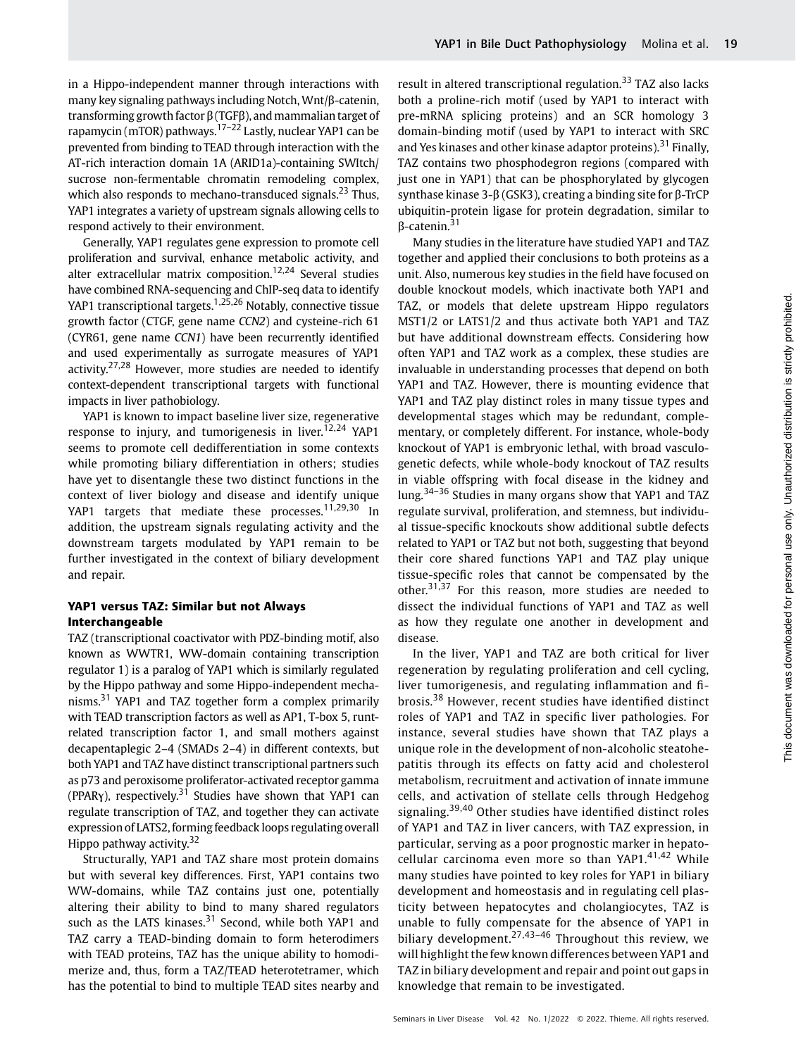in a Hippo-independent manner through interactions with many key signaling pathways including Notch, Wnt/β-catenin, transforming growth factor β (TGFβ), and mammalian target of rapamycin (mTOR) pathways.17–<sup>22</sup> Lastly, nuclear YAP1 can be prevented from binding to TEAD through interaction with the AT-rich interaction domain 1A (ARID1a)-containing SWItch/ sucrose non-fermentable chromatin remodeling complex, which also responds to mechano-transduced signals.<sup>23</sup> Thus, YAP1 integrates a variety of upstream signals allowing cells to respond actively to their environment.

Generally, YAP1 regulates gene expression to promote cell proliferation and survival, enhance metabolic activity, and alter extracellular matrix composition.<sup>12,24</sup> Several studies have combined RNA-sequencing and ChIP-seq data to identify YAP1 transcriptional targets.<sup>1,25,26</sup> Notably, connective tissue growth factor (CTGF, gene name CCN2) and cysteine-rich 61 (CYR61, gene name CCN1) have been recurrently identified and used experimentally as surrogate measures of YAP1 activity.<sup>27,28</sup> However, more studies are needed to identify context-dependent transcriptional targets with functional impacts in liver pathobiology.

YAP1 is known to impact baseline liver size, regenerative response to injury, and tumorigenesis in liver.<sup>12,24</sup> YAP1 seems to promote cell dedifferentiation in some contexts while promoting biliary differentiation in others; studies have yet to disentangle these two distinct functions in the context of liver biology and disease and identify unique YAP1 targets that mediate these processes.<sup>11,29,30</sup> In addition, the upstream signals regulating activity and the downstream targets modulated by YAP1 remain to be further investigated in the context of biliary development and repair.

# YAP1 versus TAZ: Similar but not Always Interchangeable

TAZ (transcriptional coactivator with PDZ-binding motif, also known as WWTR1, WW-domain containing transcription regulator 1) is a paralog of YAP1 which is similarly regulated by the Hippo pathway and some Hippo-independent mechanisms.<sup>31</sup> YAP1 and TAZ together form a complex primarily with TEAD transcription factors as well as AP1, T-box 5, runtrelated transcription factor 1, and small mothers against decapentaplegic 2–4 (SMADs 2–4) in different contexts, but both YAP1 and TAZ have distinct transcriptional partners such as p73 and peroxisome proliferator-activated receptor gamma (PPAR $\gamma$ ), respectively.<sup>31</sup> Studies have shown that YAP1 can regulate transcription of TAZ, and together they can activate expression of LATS2, forming feedback loops regulating overall Hippo pathway activity.<sup>32</sup>

Structurally, YAP1 and TAZ share most protein domains but with several key differences. First, YAP1 contains two WW-domains, while TAZ contains just one, potentially altering their ability to bind to many shared regulators such as the LATS kinases. $31$  Second, while both YAP1 and TAZ carry a TEAD-binding domain to form heterodimers with TEAD proteins, TAZ has the unique ability to homodimerize and, thus, form a TAZ/TEAD heterotetramer, which has the potential to bind to multiple TEAD sites nearby and result in altered transcriptional regulation.<sup>33</sup> TAZ also lacks both a proline-rich motif (used by YAP1 to interact with pre-mRNA splicing proteins) and an SCR homology 3 domain-binding motif (used by YAP1 to interact with SRC and Yes kinases and other kinase adaptor proteins).<sup>31</sup> Finally, TAZ contains two phosphodegron regions (compared with just one in YAP1) that can be phosphorylated by glycogen synthase kinase 3-β (GSK3), creating a binding site for β-TrCP ubiquitin-protein ligase for protein degradation, similar to β-catenin.<sup>31</sup>

Many studies in the literature have studied YAP1 and TAZ together and applied their conclusions to both proteins as a unit. Also, numerous key studies in the field have focused on double knockout models, which inactivate both YAP1 and TAZ, or models that delete upstream Hippo regulators MST1/2 or LATS1/2 and thus activate both YAP1 and TAZ but have additional downstream effects. Considering how often YAP1 and TAZ work as a complex, these studies are invaluable in understanding processes that depend on both YAP1 and TAZ. However, there is mounting evidence that YAP1 and TAZ play distinct roles in many tissue types and developmental stages which may be redundant, complementary, or completely different. For instance, whole-body knockout of YAP1 is embryonic lethal, with broad vasculogenetic defects, while whole-body knockout of TAZ results in viable offspring with focal disease in the kidney and lung.34–<sup>36</sup> Studies in many organs show that YAP1 and TAZ regulate survival, proliferation, and stemness, but individual tissue-specific knockouts show additional subtle defects related to YAP1 or TAZ but not both, suggesting that beyond their core shared functions YAP1 and TAZ play unique tissue-specific roles that cannot be compensated by the other.<sup>31,37</sup> For this reason, more studies are needed to dissect the individual functions of YAP1 and TAZ as well as how they regulate one another in development and disease.

In the liver, YAP1 and TAZ are both critical for liver regeneration by regulating proliferation and cell cycling, liver tumorigenesis, and regulating inflammation and fibrosis.<sup>38</sup> However, recent studies have identified distinct roles of YAP1 and TAZ in specific liver pathologies. For instance, several studies have shown that TAZ plays a unique role in the development of non-alcoholic steatohepatitis through its effects on fatty acid and cholesterol metabolism, recruitment and activation of innate immune cells, and activation of stellate cells through Hedgehog signaling.<sup>39,40</sup> Other studies have identified distinct roles of YAP1 and TAZ in liver cancers, with TAZ expression, in particular, serving as a poor prognostic marker in hepatocellular carcinoma even more so than YAP1. $41,42$  While many studies have pointed to key roles for YAP1 in biliary development and homeostasis and in regulating cell plasticity between hepatocytes and cholangiocytes, TAZ is unable to fully compensate for the absence of YAP1 in biliary development.<sup>27,43-46</sup> Throughout this review, we will highlight the few known differences between YAP1 and TAZ in biliary development and repair and point out gaps in knowledge that remain to be investigated.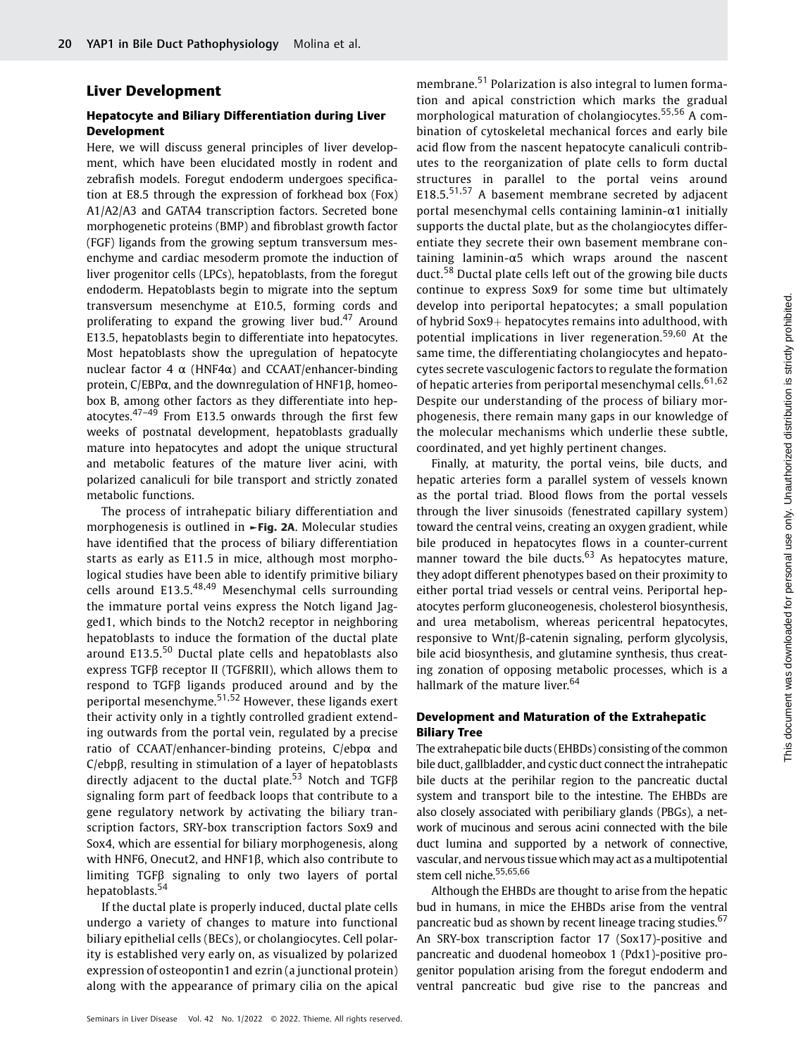# Liver Development

## Hepatocyte and Biliary Differentiation during Liver Development

Here, we will discuss general principles of liver development, which have been elucidated mostly in rodent and zebrafish models. Foregut endoderm undergoes specification at E8.5 through the expression of forkhead box (Fox) A1/A2/A3 and GATA4 transcription factors. Secreted bone morphogenetic proteins (BMP) and fibroblast growth factor (FGF) ligands from the growing septum transversum mesenchyme and cardiac mesoderm promote the induction of liver progenitor cells (LPCs), hepatoblasts, from the foregut endoderm. Hepatoblasts begin to migrate into the septum transversum mesenchyme at E10.5, forming cords and proliferating to expand the growing liver bud.<sup>47</sup> Around E13.5, hepatoblasts begin to differentiate into hepatocytes. Most hepatoblasts show the upregulation of hepatocyte nuclear factor 4  $\alpha$  (HNF4α) and CCAAT/enhancer-binding protein, C/EBPα, and the downregulation of HNF1β, homeobox B, among other factors as they differentiate into hepatocytes. $47-49$  From E13.5 onwards through the first few weeks of postnatal development, hepatoblasts gradually mature into hepatocytes and adopt the unique structural and metabolic features of the mature liver acini, with polarized canaliculi for bile transport and strictly zonated metabolic functions.

The process of intrahepatic biliary differentiation and morphogenesis is outlined in ►Fig. 2A. Molecular studies have identified that the process of biliary differentiation starts as early as E11.5 in mice, although most morphological studies have been able to identify primitive biliary cells around E13.5.48,49 Mesenchymal cells surrounding the immature portal veins express the Notch ligand Jagged1, which binds to the Notch2 receptor in neighboring hepatoblasts to induce the formation of the ductal plate around E13.5.<sup>50</sup> Ductal plate cells and hepatoblasts also express TGFβ receptor II (TGFßRII), which allows them to respond to TGFβ ligands produced around and by the periportal mesenchyme.51,52 However, these ligands exert their activity only in a tightly controlled gradient extending outwards from the portal vein, regulated by a precise ratio of CCAAT/enhancer-binding proteins, C/ebpα and C/ebpβ, resulting in stimulation of a layer of hepatoblasts directly adjacent to the ductal plate.<sup>53</sup> Notch and TGFB signaling form part of feedback loops that contribute to a gene regulatory network by activating the biliary transcription factors, SRY-box transcription factors Sox9 and Sox4, which are essential for biliary morphogenesis, along with HNF6, Onecut2, and HNF1β, which also contribute to limiting TGFβ signaling to only two layers of portal hepatoblasts.<sup>54</sup>

If the ductal plate is properly induced, ductal plate cells undergo a variety of changes to mature into functional biliary epithelial cells (BECs), or cholangiocytes. Cell polarity is established very early on, as visualized by polarized expression of osteopontin1 and ezrin (a junctional protein) along with the appearance of primary cilia on the apical membrane.<sup>51</sup> Polarization is also integral to lumen formation and apical constriction which marks the gradual morphological maturation of cholangiocytes.<sup>55,56</sup> A combination of cytoskeletal mechanical forces and early bile acid flow from the nascent hepatocyte canaliculi contributes to the reorganization of plate cells to form ductal structures in parallel to the portal veins around E18.5.<sup>51,57</sup> A basement membrane secreted by adjacent portal mesenchymal cells containing laminin-α1 initially supports the ductal plate, but as the cholangiocytes differentiate they secrete their own basement membrane containing laminin-α5 which wraps around the nascent duct.<sup>58</sup> Ductal plate cells left out of the growing bile ducts continue to express Sox9 for some time but ultimately develop into periportal hepatocytes; a small population of hybrid  $Sox9+$  hepatocytes remains into adulthood, with potential implications in liver regeneration.<sup>59,60</sup> At the same time, the differentiating cholangiocytes and hepatocytes secrete vasculogenic factors to regulate the formation of hepatic arteries from periportal mesenchymal cells.<sup>61,62</sup> Despite our understanding of the process of biliary morphogenesis, there remain many gaps in our knowledge of the molecular mechanisms which underlie these subtle, coordinated, and yet highly pertinent changes.

Finally, at maturity, the portal veins, bile ducts, and hepatic arteries form a parallel system of vessels known as the portal triad. Blood flows from the portal vessels through the liver sinusoids (fenestrated capillary system) toward the central veins, creating an oxygen gradient, while bile produced in hepatocytes flows in a counter-current manner toward the bile ducts. $63$  As hepatocytes mature, they adopt different phenotypes based on their proximity to either portal triad vessels or central veins. Periportal hepatocytes perform gluconeogenesis, cholesterol biosynthesis, and urea metabolism, whereas pericentral hepatocytes, responsive to Wnt/β-catenin signaling, perform glycolysis, bile acid biosynthesis, and glutamine synthesis, thus creating zonation of opposing metabolic processes, which is a hallmark of the mature liver.<sup>64</sup>

# Development and Maturation of the Extrahepatic Biliary Tree

The extrahepatic bile ducts (EHBDs) consisting of the common bile duct, gallbladder, and cystic duct connect the intrahepatic bile ducts at the perihilar region to the pancreatic ductal system and transport bile to the intestine. The EHBDs are also closely associated with peribiliary glands (PBGs), a network of mucinous and serous acini connected with the bile duct lumina and supported by a network of connective, vascular, and nervous tissue which may act as a multipotential stem cell niche.<sup>55,65,66</sup>

Although the EHBDs are thought to arise from the hepatic bud in humans, in mice the EHBDs arise from the ventral pancreatic bud as shown by recent lineage tracing studies.<sup>67</sup> An SRY-box transcription factor 17 (Sox17)-positive and pancreatic and duodenal homeobox 1 (Pdx1)-positive progenitor population arising from the foregut endoderm and ventral pancreatic bud give rise to the pancreas and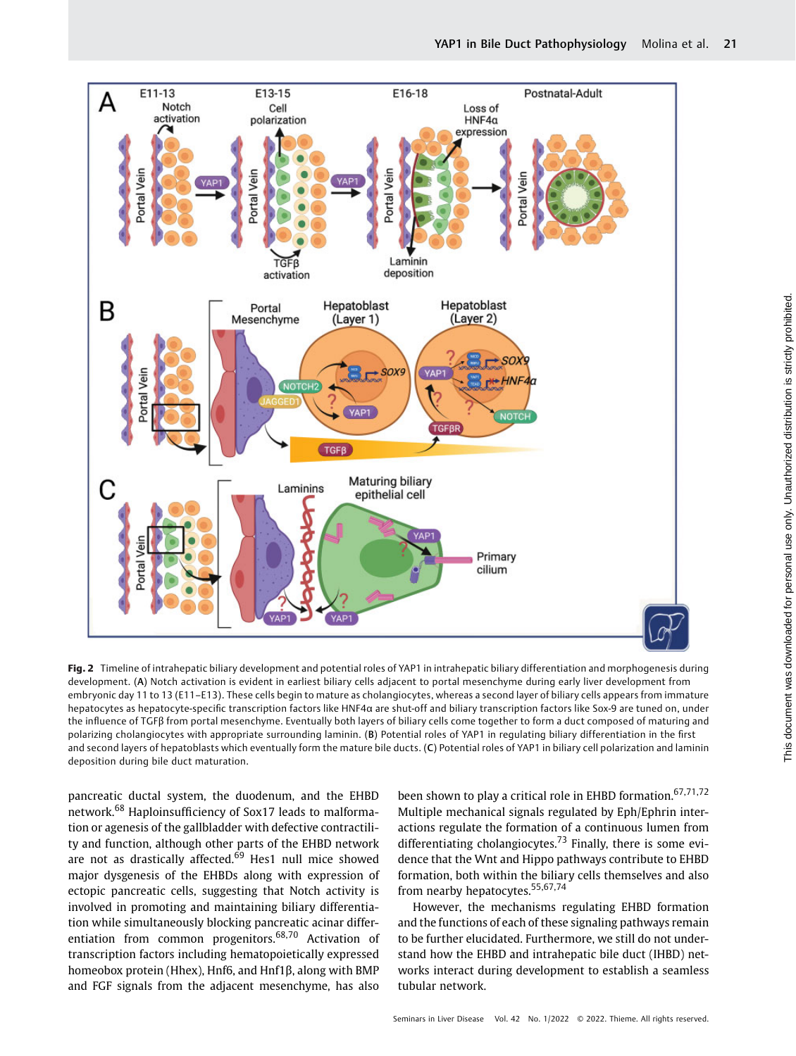

Fig. 2 Timeline of intrahepatic biliary development and potential roles of YAP1 in intrahepatic biliary differentiation and morphogenesis during development. (A) Notch activation is evident in earliest biliary cells adjacent to portal mesenchyme during early liver development from embryonic day 11 to 13 (E11–E13). These cells begin to mature as cholangiocytes, whereas a second layer of biliary cells appears from immature hepatocytes as hepatocyte-specific transcription factors like HNF4α are shut-off and biliary transcription factors like Sox-9 are tuned on, under the influence of TGFβ from portal mesenchyme. Eventually both layers of biliary cells come together to form a duct composed of maturing and polarizing cholangiocytes with appropriate surrounding laminin. (B) Potential roles of YAP1 in regulating biliary differentiation in the first and second layers of hepatoblasts which eventually form the mature bile ducts. (C) Potential roles of YAP1 in biliary cell polarization and laminin deposition during bile duct maturation.

pancreatic ductal system, the duodenum, and the EHBD network.<sup>68</sup> Haploinsufficiency of Sox17 leads to malformation or agenesis of the gallbladder with defective contractility and function, although other parts of the EHBD network are not as drastically affected. $69$  Hes1 null mice showed major dysgenesis of the EHBDs along with expression of ectopic pancreatic cells, suggesting that Notch activity is involved in promoting and maintaining biliary differentiation while simultaneously blocking pancreatic acinar differentiation from common progenitors.68,70 Activation of transcription factors including hematopoietically expressed homeobox protein (Hhex), Hnf6, and Hnf1β, along with BMP and FGF signals from the adjacent mesenchyme, has also

been shown to play a critical role in EHBD formation.<sup>67,71,72</sup> Multiple mechanical signals regulated by Eph/Ephrin interactions regulate the formation of a continuous lumen from differentiating cholangiocytes.<sup>73</sup> Finally, there is some evidence that the Wnt and Hippo pathways contribute to EHBD formation, both within the biliary cells themselves and also from nearby hepatocytes.<sup>55,67,74</sup>

However, the mechanisms regulating EHBD formation and the functions of each of these signaling pathways remain to be further elucidated. Furthermore, we still do not understand how the EHBD and intrahepatic bile duct (IHBD) networks interact during development to establish a seamless tubular network.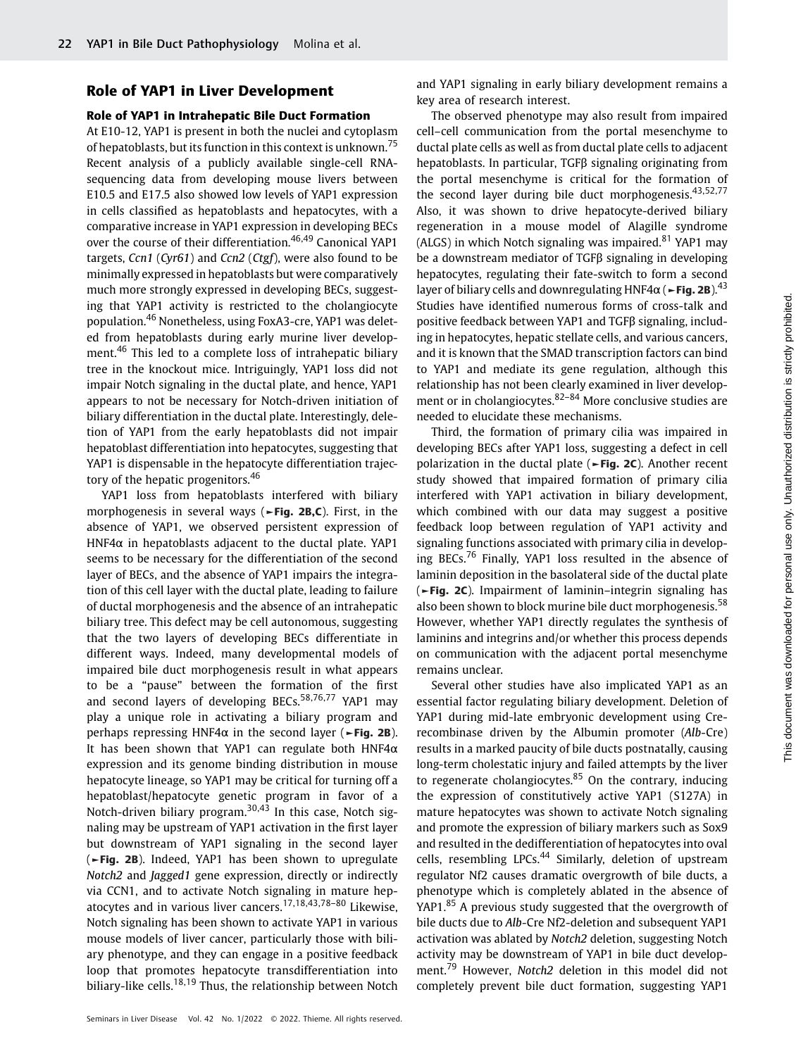#### Role of YAP1 in Liver Development

#### Role of YAP1 in Intrahepatic Bile Duct Formation

At E10-12, YAP1 is present in both the nuclei and cytoplasm of hepatoblasts, but its function in this context is unknown.<sup>75</sup> Recent analysis of a publicly available single-cell RNAsequencing data from developing mouse livers between E10.5 and E17.5 also showed low levels of YAP1 expression in cells classified as hepatoblasts and hepatocytes, with a comparative increase in YAP1 expression in developing BECs over the course of their differentiation.<sup>46,49</sup> Canonical YAP1 targets, Ccn1 (Cyr61) and Ccn2 (Ctgf), were also found to be minimally expressed in hepatoblasts but were comparatively much more strongly expressed in developing BECs, suggesting that YAP1 activity is restricted to the cholangiocyte population.<sup>46</sup> Nonetheless, using FoxA3-cre, YAP1 was deleted from hepatoblasts during early murine liver development.<sup>46</sup> This led to a complete loss of intrahepatic biliary tree in the knockout mice. Intriguingly, YAP1 loss did not impair Notch signaling in the ductal plate, and hence, YAP1 appears to not be necessary for Notch-driven initiation of biliary differentiation in the ductal plate. Interestingly, deletion of YAP1 from the early hepatoblasts did not impair hepatoblast differentiation into hepatocytes, suggesting that YAP1 is dispensable in the hepatocyte differentiation trajectory of the hepatic progenitors.<sup>46</sup>

YAP1 loss from hepatoblasts interfered with biliary morphogenesis in several ways (►Fig. 2B,C). First, in the absence of YAP1, we observed persistent expression of HNF4 $\alpha$  in hepatoblasts adjacent to the ductal plate. YAP1 seems to be necessary for the differentiation of the second layer of BECs, and the absence of YAP1 impairs the integration of this cell layer with the ductal plate, leading to failure of ductal morphogenesis and the absence of an intrahepatic biliary tree. This defect may be cell autonomous, suggesting that the two layers of developing BECs differentiate in different ways. Indeed, many developmental models of impaired bile duct morphogenesis result in what appears to be a "pause" between the formation of the first and second layers of developing BECs. $58,76,77$  YAP1 may play a unique role in activating a biliary program and perhaps repressing HNF4 $\alpha$  in the second layer ( $\blacktriangleright$ Fig. 2B). It has been shown that YAP1 can regulate both HNF4 $\alpha$ expression and its genome binding distribution in mouse hepatocyte lineage, so YAP1 may be critical for turning off a hepatoblast/hepatocyte genetic program in favor of a Notch-driven biliary program.<sup>30,43</sup> In this case, Notch signaling may be upstream of YAP1 activation in the first layer but downstream of YAP1 signaling in the second layer (►Fig. 2B). Indeed, YAP1 has been shown to upregulate Notch2 and Jagged1 gene expression, directly or indirectly via CCN1, and to activate Notch signaling in mature hepatocytes and in various liver cancers.17,18,43,78–<sup>80</sup> Likewise, Notch signaling has been shown to activate YAP1 in various mouse models of liver cancer, particularly those with biliary phenotype, and they can engage in a positive feedback loop that promotes hepatocyte transdifferentiation into biliary-like cells.<sup>18,19</sup> Thus, the relationship between Notch and YAP1 signaling in early biliary development remains a key area of research interest.

The observed phenotype may also result from impaired cell–cell communication from the portal mesenchyme to ductal plate cells as well as from ductal plate cells to adjacent hepatoblasts. In particular, TGFβ signaling originating from the portal mesenchyme is critical for the formation of the second layer during bile duct morphogenesis.<sup>43,52,77</sup> Also, it was shown to drive hepatocyte-derived biliary regeneration in a mouse model of Alagille syndrome (ALGS) in which Notch signaling was impaired.<sup>81</sup> YAP1 may be a downstream mediator of TGFβ signaling in developing hepatocytes, regulating their fate-switch to form a second layer of biliary cells and downregulating HNF4 $\alpha$  ( $\sim$ Fig. 2B).<sup>43</sup> Studies have identified numerous forms of cross-talk and positive feedback between YAP1 and TGFβ signaling, including in hepatocytes, hepatic stellate cells, and various cancers, and it is known that the SMAD transcription factors can bind to YAP1 and mediate its gene regulation, although this relationship has not been clearly examined in liver development or in cholangiocytes.<sup>82–84</sup> More conclusive studies are needed to elucidate these mechanisms.

Third, the formation of primary cilia was impaired in developing BECs after YAP1 loss, suggesting a defect in cell polarization in the ductal plate (►Fig. 2C). Another recent study showed that impaired formation of primary cilia interfered with YAP1 activation in biliary development, which combined with our data may suggest a positive feedback loop between regulation of YAP1 activity and signaling functions associated with primary cilia in developing BECs.<sup>76</sup> Finally, YAP1 loss resulted in the absence of laminin deposition in the basolateral side of the ductal plate (►Fig. 2C). Impairment of laminin–integrin signaling has also been shown to block murine bile duct morphogenesis.<sup>58</sup> However, whether YAP1 directly regulates the synthesis of laminins and integrins and/or whether this process depends on communication with the adjacent portal mesenchyme remains unclear.

Several other studies have also implicated YAP1 as an essential factor regulating biliary development. Deletion of YAP1 during mid-late embryonic development using Crerecombinase driven by the Albumin promoter (Alb-Cre) results in a marked paucity of bile ducts postnatally, causing long-term cholestatic injury and failed attempts by the liver to regenerate cholangiocytes. $85$  On the contrary, inducing the expression of constitutively active YAP1 (S127A) in mature hepatocytes was shown to activate Notch signaling and promote the expression of biliary markers such as Sox9 and resulted in the dedifferentiation of hepatocytes into oval cells, resembling LPCs.<sup>44</sup> Similarly, deletion of upstream regulator Nf2 causes dramatic overgrowth of bile ducts, a phenotype which is completely ablated in the absence of YAP1.<sup>85</sup> A previous study suggested that the overgrowth of bile ducts due to Alb-Cre Nf2-deletion and subsequent YAP1 activation was ablated by Notch2 deletion, suggesting Notch activity may be downstream of YAP1 in bile duct development.<sup>79</sup> However, Notch2 deletion in this model did not completely prevent bile duct formation, suggesting YAP1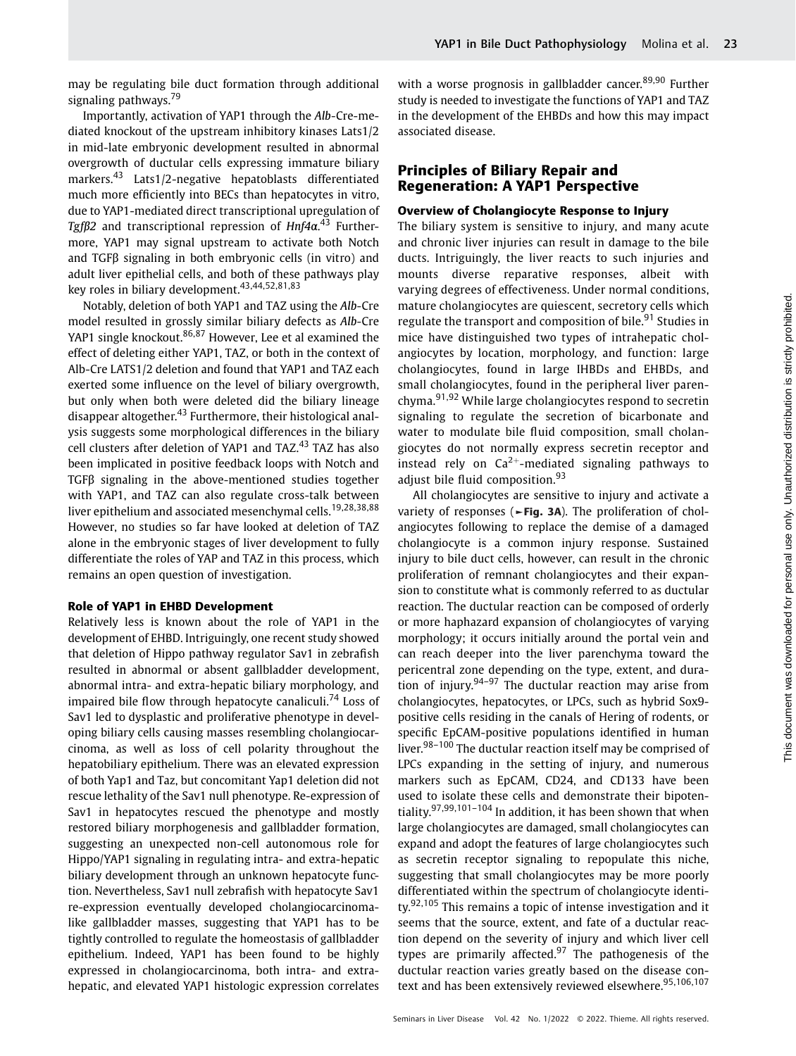may be regulating bile duct formation through additional signaling pathways.<sup>79</sup>

Importantly, activation of YAP1 through the Alb-Cre-mediated knockout of the upstream inhibitory kinases Lats1/2 in mid-late embryonic development resulted in abnormal overgrowth of ductular cells expressing immature biliary markers.<sup>43</sup> Lats1/2-negative hepatoblasts differentiated much more efficiently into BECs than hepatocytes in vitro, due to YAP1-mediated direct transcriptional upregulation of Tgfβ2 and transcriptional repression of Hnf4α. <sup>43</sup> Furthermore, YAP1 may signal upstream to activate both Notch and TGFβ signaling in both embryonic cells (in vitro) and adult liver epithelial cells, and both of these pathways play key roles in biliary development.<sup>43,44,52,81,83</sup>

Notably, deletion of both YAP1 and TAZ using the Alb-Cre model resulted in grossly similar biliary defects as Alb-Cre YAP1 single knockout.<sup>86,87</sup> However, Lee et al examined the effect of deleting either YAP1, TAZ, or both in the context of Alb-Cre LATS1/2 deletion and found that YAP1 and TAZ each exerted some influence on the level of biliary overgrowth, but only when both were deleted did the biliary lineage disappear altogether.<sup>43</sup> Furthermore, their histological analysis suggests some morphological differences in the biliary cell clusters after deletion of YAP1 and TAZ.<sup>43</sup> TAZ has also been implicated in positive feedback loops with Notch and TGFβ signaling in the above-mentioned studies together with YAP1, and TAZ can also regulate cross-talk between liver epithelium and associated mesenchymal cells.<sup>19,28,38,88</sup> However, no studies so far have looked at deletion of TAZ alone in the embryonic stages of liver development to fully differentiate the roles of YAP and TAZ in this process, which remains an open question of investigation.

#### Role of YAP1 in EHBD Development

Relatively less is known about the role of YAP1 in the development of EHBD. Intriguingly, one recent study showed that deletion of Hippo pathway regulator Sav1 in zebrafish resulted in abnormal or absent gallbladder development, abnormal intra- and extra-hepatic biliary morphology, and impaired bile flow through hepatocyte canaliculi.<sup>74</sup> Loss of Sav1 led to dysplastic and proliferative phenotype in developing biliary cells causing masses resembling cholangiocarcinoma, as well as loss of cell polarity throughout the hepatobiliary epithelium. There was an elevated expression of both Yap1 and Taz, but concomitant Yap1 deletion did not rescue lethality of the Sav1 null phenotype. Re-expression of Sav1 in hepatocytes rescued the phenotype and mostly restored biliary morphogenesis and gallbladder formation, suggesting an unexpected non-cell autonomous role for Hippo/YAP1 signaling in regulating intra- and extra-hepatic biliary development through an unknown hepatocyte function. Nevertheless, Sav1 null zebrafish with hepatocyte Sav1 re-expression eventually developed cholangiocarcinomalike gallbladder masses, suggesting that YAP1 has to be tightly controlled to regulate the homeostasis of gallbladder epithelium. Indeed, YAP1 has been found to be highly expressed in cholangiocarcinoma, both intra- and extrahepatic, and elevated YAP1 histologic expression correlates

with a worse prognosis in gallbladder cancer.<sup>89,90</sup> Further study is needed to investigate the functions of YAP1 and TAZ in the development of the EHBDs and how this may impact associated disease.

# Principles of Biliary Repair and Regeneration: A YAP1 Perspective

#### Overview of Cholangiocyte Response to Injury

The biliary system is sensitive to injury, and many acute and chronic liver injuries can result in damage to the bile ducts. Intriguingly, the liver reacts to such injuries and mounts diverse reparative responses, albeit with varying degrees of effectiveness. Under normal conditions, mature cholangiocytes are quiescent, secretory cells which regulate the transport and composition of bile.<sup>91</sup> Studies in mice have distinguished two types of intrahepatic cholangiocytes by location, morphology, and function: large cholangiocytes, found in large IHBDs and EHBDs, and small cholangiocytes, found in the peripheral liver parenchyma.91,92 While large cholangiocytes respond to secretin signaling to regulate the secretion of bicarbonate and water to modulate bile fluid composition, small cholangiocytes do not normally express secretin receptor and instead rely on  $Ca^{2+}$ -mediated signaling pathways to adjust bile fluid composition.<sup>93</sup>

All cholangiocytes are sensitive to injury and activate a variety of responses (►Fig. 3A). The proliferation of cholangiocytes following to replace the demise of a damaged cholangiocyte is a common injury response. Sustained injury to bile duct cells, however, can result in the chronic proliferation of remnant cholangiocytes and their expansion to constitute what is commonly referred to as ductular reaction. The ductular reaction can be composed of orderly or more haphazard expansion of cholangiocytes of varying morphology; it occurs initially around the portal vein and can reach deeper into the liver parenchyma toward the pericentral zone depending on the type, extent, and duration of injury. $94-97$  The ductular reaction may arise from cholangiocytes, hepatocytes, or LPCs, such as hybrid Sox9 positive cells residing in the canals of Hering of rodents, or specific EpCAM-positive populations identified in human liver.<sup>98-100</sup> The ductular reaction itself may be comprised of LPCs expanding in the setting of injury, and numerous markers such as EpCAM, CD24, and CD133 have been used to isolate these cells and demonstrate their bipotentiality.<sup>97,99,101–104</sup> In addition, it has been shown that when large cholangiocytes are damaged, small cholangiocytes can expand and adopt the features of large cholangiocytes such as secretin receptor signaling to repopulate this niche, suggesting that small cholangiocytes may be more poorly differentiated within the spectrum of cholangiocyte identity.<sup>92,105</sup> This remains a topic of intense investigation and it seems that the source, extent, and fate of a ductular reaction depend on the severity of injury and which liver cell types are primarily affected.<sup>97</sup> The pathogenesis of the ductular reaction varies greatly based on the disease context and has been extensively reviewed elsewhere.<sup>95,106,107</sup>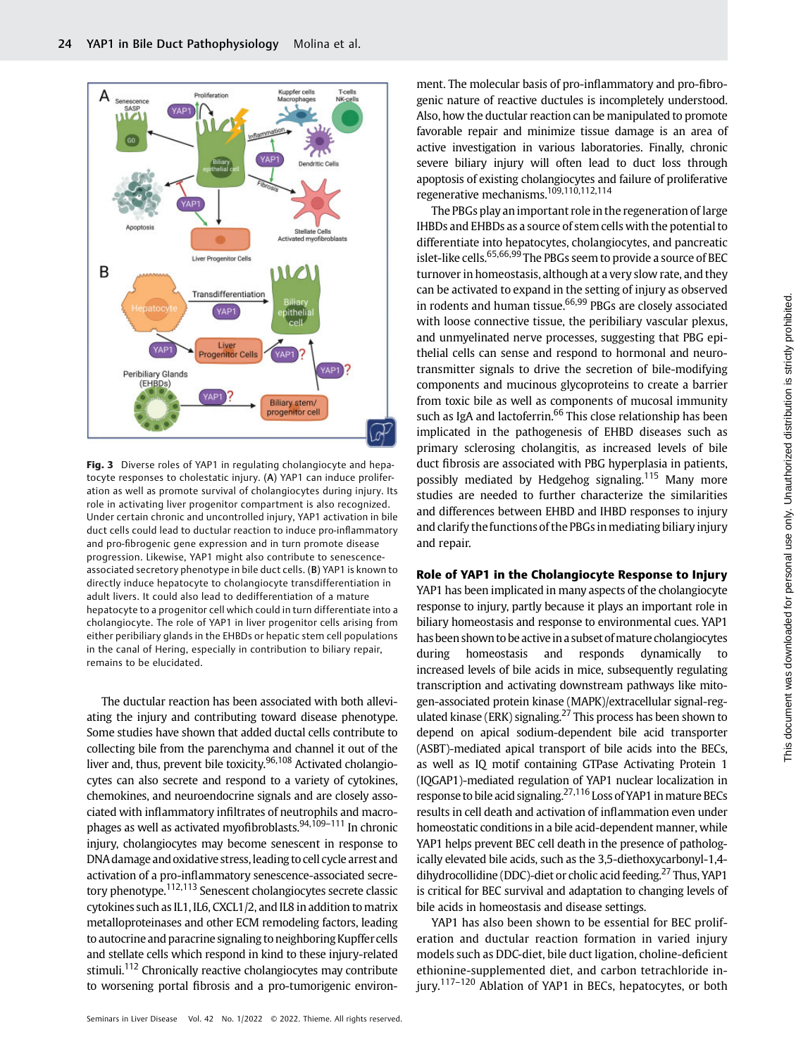

Fig. 3 Diverse roles of YAP1 in regulating cholangiocyte and hepatocyte responses to cholestatic injury. (A) YAP1 can induce proliferation as well as promote survival of cholangiocytes during injury. Its role in activating liver progenitor compartment is also recognized. Under certain chronic and uncontrolled injury, YAP1 activation in bile duct cells could lead to ductular reaction to induce pro-inflammatory and pro-fibrogenic gene expression and in turn promote disease progression. Likewise, YAP1 might also contribute to senescenceassociated secretory phenotype in bile duct cells. (B) YAP1 is known to directly induce hepatocyte to cholangiocyte transdifferentiation in adult livers. It could also lead to dedifferentiation of a mature hepatocyte to a progenitor cell which could in turn differentiate into a cholangiocyte. The role of YAP1 in liver progenitor cells arising from either peribiliary glands in the EHBDs or hepatic stem cell populations in the canal of Hering, especially in contribution to biliary repair, remains to be elucidated.

The ductular reaction has been associated with both alleviating the injury and contributing toward disease phenotype. Some studies have shown that added ductal cells contribute to collecting bile from the parenchyma and channel it out of the liver and, thus, prevent bile toxicity.<sup>96,108</sup> Activated cholangiocytes can also secrete and respond to a variety of cytokines, chemokines, and neuroendocrine signals and are closely associated with inflammatory infiltrates of neutrophils and macrophages as well as activated myofibroblasts.<sup>94,109-111</sup> In chronic injury, cholangiocytes may become senescent in response to DNA damage and oxidative stress, leading to cell cycle arrest and activation of a pro-inflammatory senescence-associated secretory phenotype.<sup>112,113</sup> Senescent cholangiocytes secrete classic cytokines such as IL1, IL6, CXCL1/2, and IL8 in addition to matrix metalloproteinases and other ECM remodeling factors, leading to autocrine and paracrine signaling to neighboring Kupffercells and stellate cells which respond in kind to these injury-related stimuli.<sup>112</sup> Chronically reactive cholangiocytes may contribute to worsening portal fibrosis and a pro-tumorigenic environment. The molecular basis of pro-inflammatory and pro-fibrogenic nature of reactive ductules is incompletely understood. Also, how the ductular reaction can be manipulated to promote favorable repair and minimize tissue damage is an area of active investigation in various laboratories. Finally, chronic severe biliary injury will often lead to duct loss through apoptosis of existing cholangiocytes and failure of proliferative regenerative mechanisms.109,110,112,114

The PBGs play an important role in the regeneration of large IHBDs and EHBDs as a source of stem cells with the potential to differentiate into hepatocytes, cholangiocytes, and pancreatic islet-like cells.<sup>65,66,99</sup> The PBGs seem to provide a source of BEC turnover in homeostasis, although at a very slow rate, and they can be activated to expand in the setting of injury as observed in rodents and human tissue.<sup>66,99</sup> PBGs are closely associated with loose connective tissue, the peribiliary vascular plexus, and unmyelinated nerve processes, suggesting that PBG epithelial cells can sense and respond to hormonal and neurotransmitter signals to drive the secretion of bile-modifying components and mucinous glycoproteins to create a barrier from toxic bile as well as components of mucosal immunity such as IgA and lactoferrin.<sup>66</sup> This close relationship has been implicated in the pathogenesis of EHBD diseases such as primary sclerosing cholangitis, as increased levels of bile duct fibrosis are associated with PBG hyperplasia in patients, possibly mediated by Hedgehog signaling.<sup>115</sup> Many more studies are needed to further characterize the similarities and differences between EHBD and IHBD responses to injury and clarify the functions of the PBGs in mediating biliary injury and repair.

## Role of YAP1 in the Cholangiocyte Response to Injury

YAP1 has been implicated in many aspects of the cholangiocyte response to injury, partly because it plays an important role in biliary homeostasis and response to environmental cues. YAP1 has been shown to be active in a subset of mature cholangiocytes during homeostasis and responds dynamically to increased levels of bile acids in mice, subsequently regulating transcription and activating downstream pathways like mitogen-associated protein kinase (MAPK)/extracellular signal-regulated kinase (ERK) signaling.<sup>27</sup> This process has been shown to depend on apical sodium-dependent bile acid transporter (ASBT)-mediated apical transport of bile acids into the BECs, as well as IQ motif containing GTPase Activating Protein 1 (IQGAP1)-mediated regulation of YAP1 nuclear localization in response to bile acid signaling. $27,116$  Loss of YAP1 in mature BECs results in cell death and activation of inflammation even under homeostatic conditions in a bile acid-dependent manner, while YAP1 helps prevent BEC cell death in the presence of pathologically elevated bile acids, such as the 3,5-diethoxycarbonyl-1,4 dihydrocollidine (DDC)-diet or cholic acid feeding.<sup>27</sup> Thus, YAP1 is critical for BEC survival and adaptation to changing levels of bile acids in homeostasis and disease settings.

YAP1 has also been shown to be essential for BEC proliferation and ductular reaction formation in varied injury models such as DDC-diet, bile duct ligation, choline-deficient ethionine-supplemented diet, and carbon tetrachloride injury.<sup>117–120</sup> Ablation of YAP1 in BECs, hepatocytes, or both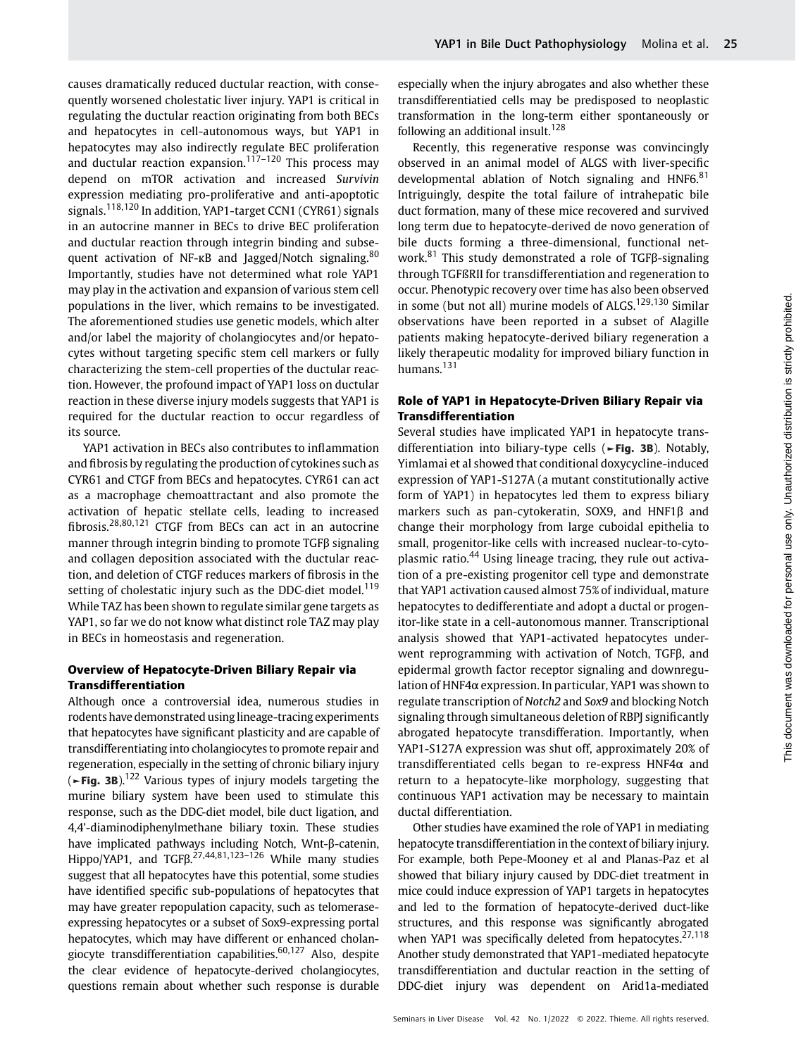causes dramatically reduced ductular reaction, with consequently worsened cholestatic liver injury. YAP1 is critical in regulating the ductular reaction originating from both BECs and hepatocytes in cell-autonomous ways, but YAP1 in hepatocytes may also indirectly regulate BEC proliferation and ductular reaction expansion.<sup>117–120</sup> This process may depend on mTOR activation and increased Survivin expression mediating pro-proliferative and anti-apoptotic signals.118,120 In addition, YAP1-target CCN1 (CYR61) signals in an autocrine manner in BECs to drive BEC proliferation and ductular reaction through integrin binding and subsequent activation of NF-κB and Jagged/Notch signaling.<sup>80</sup> Importantly, studies have not determined what role YAP1 may play in the activation and expansion of various stem cell populations in the liver, which remains to be investigated. The aforementioned studies use genetic models, which alter and/or label the majority of cholangiocytes and/or hepatocytes without targeting specific stem cell markers or fully characterizing the stem-cell properties of the ductular reaction. However, the profound impact of YAP1 loss on ductular reaction in these diverse injury models suggests that YAP1 is required for the ductular reaction to occur regardless of its source.

YAP1 activation in BECs also contributes to inflammation and fibrosis by regulating the production of cytokines such as CYR61 and CTGF from BECs and hepatocytes. CYR61 can act as a macrophage chemoattractant and also promote the activation of hepatic stellate cells, leading to increased fibrosis.28,80,121 CTGF from BECs can act in an autocrine manner through integrin binding to promote TGFβ signaling and collagen deposition associated with the ductular reaction, and deletion of CTGF reduces markers of fibrosis in the setting of cholestatic injury such as the DDC-diet model.<sup>119</sup> While TAZ has been shown to regulate similar gene targets as YAP1, so far we do not know what distinct role TAZ may play in BECs in homeostasis and regeneration.

#### Overview of Hepatocyte-Driven Biliary Repair via Transdifferentiation

Although once a controversial idea, numerous studies in rodents have demonstrated using lineage-tracing experiments that hepatocytes have significant plasticity and are capable of transdifferentiating into cholangiocytes to promote repair and regeneration, especially in the setting of chronic biliary injury  $(-$ Fig. 3B).<sup>122</sup> Various types of injury models targeting the murine biliary system have been used to stimulate this response, such as the DDC-diet model, bile duct ligation, and 4,4'-diaminodiphenylmethane biliary toxin. These studies have implicated pathways including Notch, Wnt-β-catenin, Hippo/YAP1, and TGFβ.<sup>27,44,81,123–126</sup> While many studies suggest that all hepatocytes have this potential, some studies have identified specific sub-populations of hepatocytes that may have greater repopulation capacity, such as telomeraseexpressing hepatocytes or a subset of Sox9-expressing portal hepatocytes, which may have different or enhanced cholangiocyte transdifferentiation capabilities. $60,127$  Also, despite the clear evidence of hepatocyte-derived cholangiocytes, questions remain about whether such response is durable especially when the injury abrogates and also whether these transdifferentiatied cells may be predisposed to neoplastic transformation in the long-term either spontaneously or following an additional insult.<sup>128</sup>

Recently, this regenerative response was convincingly observed in an animal model of ALGS with liver-specific developmental ablation of Notch signaling and HNF6. $81$ Intriguingly, despite the total failure of intrahepatic bile duct formation, many of these mice recovered and survived long term due to hepatocyte-derived de novo generation of bile ducts forming a three-dimensional, functional network.<sup>81</sup> This study demonstrated a role of TGFβ-signaling through TGFßRII for transdifferentiation and regeneration to occur. Phenotypic recovery over time has also been observed in some (but not all) murine models of ALGS.<sup>129,130</sup> Similar observations have been reported in a subset of Alagille patients making hepatocyte-derived biliary regeneration a likely therapeutic modality for improved biliary function in humans.<sup>131</sup>

## Role of YAP1 in Hepatocyte-Driven Biliary Repair via Transdifferentiation

Several studies have implicated YAP1 in hepatocyte transdifferentiation into biliary-type cells (►Fig. 3B). Notably, Yimlamai et al showed that conditional doxycycline-induced expression of YAP1-S127A (a mutant constitutionally active form of YAP1) in hepatocytes led them to express biliary markers such as pan-cytokeratin, SOX9, and HNF1β and change their morphology from large cuboidal epithelia to small, progenitor-like cells with increased nuclear-to-cytoplasmic ratio.<sup>44</sup> Using lineage tracing, they rule out activation of a pre-existing progenitor cell type and demonstrate that YAP1 activation caused almost 75% of individual, mature hepatocytes to dedifferentiate and adopt a ductal or progenitor-like state in a cell-autonomous manner. Transcriptional analysis showed that YAP1-activated hepatocytes underwent reprogramming with activation of Notch, TGFβ, and epidermal growth factor receptor signaling and downregulation of HNF4α expression. In particular, YAP1 was shown to regulate transcription of Notch2 and Sox9 and blocking Notch signaling through simultaneous deletion of RBPJ significantly abrogated hepatocyte transdifferation. Importantly, when YAP1-S127A expression was shut off, approximately 20% of transdifferentiated cells began to re-express HNF4α and return to a hepatocyte-like morphology, suggesting that continuous YAP1 activation may be necessary to maintain ductal differentiation.

Other studies have examined the role of YAP1 in mediating hepatocyte transdifferentiation in the context of biliary injury. For example, both Pepe-Mooney et al and Planas-Paz et al showed that biliary injury caused by DDC-diet treatment in mice could induce expression of YAP1 targets in hepatocytes and led to the formation of hepatocyte-derived duct-like structures, and this response was significantly abrogated when YAP1 was specifically deleted from hepatocytes.<sup>27,118</sup> Another study demonstrated that YAP1-mediated hepatocyte transdifferentiation and ductular reaction in the setting of DDC-diet injury was dependent on Arid1a-mediated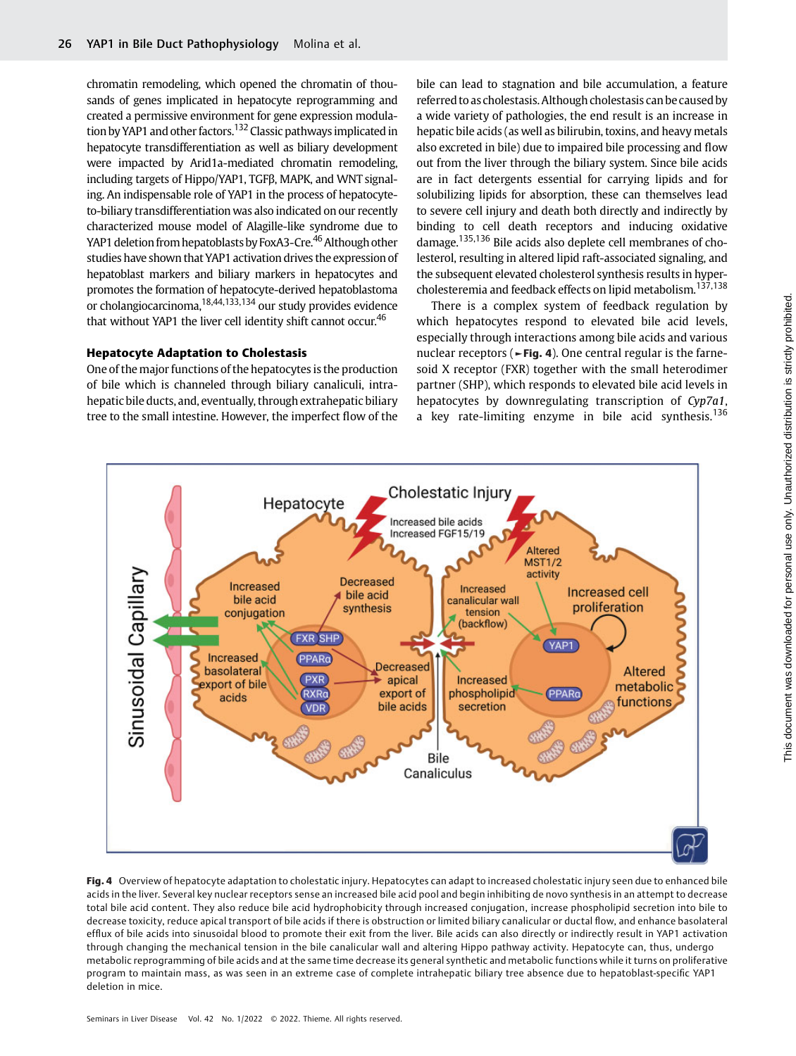chromatin remodeling, which opened the chromatin of thousands of genes implicated in hepatocyte reprogramming and created a permissive environment for gene expression modulation by YAP1 and other factors.<sup>132</sup> Classic pathways implicated in hepatocyte transdifferentiation as well as biliary development were impacted by Arid1a-mediated chromatin remodeling, including targets of Hippo/YAP1, TGFβ, MAPK, and WNT signaling. An indispensable role of YAP1 in the process of hepatocyteto-biliary transdifferentiation was also indicated on our recently characterized mouse model of Alagille-like syndrome due to YAP1 deletion from hepatoblasts by FoxA3-Cre.<sup>46</sup> Although other studies have shown that YAP1 activation drives the expression of hepatoblast markers and biliary markers in hepatocytes and promotes the formation of hepatocyte-derived hepatoblastoma or cholangiocarcinoma,  $18,44,133,134$  our study provides evidence that without YAP1 the liver cell identity shift cannot occur.<sup>46</sup>

#### Hepatocyte Adaptation to Cholestasis

One of the major functions of the hepatocytes is the production of bile which is channeled through biliary canaliculi, intrahepatic bile ducts, and, eventually, through extrahepatic biliary tree to the small intestine. However, the imperfect flow of the bile can lead to stagnation and bile accumulation, a feature referred to as cholestasis. Although cholestasis can be caused by a wide variety of pathologies, the end result is an increase in hepatic bile acids (as well as bilirubin, toxins, and heavy metals also excreted in bile) due to impaired bile processing and flow out from the liver through the biliary system. Since bile acids are in fact detergents essential for carrying lipids and for solubilizing lipids for absorption, these can themselves lead to severe cell injury and death both directly and indirectly by binding to cell death receptors and inducing oxidative damage.135,136 Bile acids also deplete cell membranes of cholesterol, resulting in altered lipid raft-associated signaling, and the subsequent elevated cholesterol synthesis results in hypercholesteremia and feedback effects on lipid metabolism.137,138

There is a complex system of feedback regulation by which hepatocytes respond to elevated bile acid levels, especially through interactions among bile acids and various nuclear receptors ( $\blacktriangleright$ Fig. 4). One central regular is the farnesoid X receptor (FXR) together with the small heterodimer partner (SHP), which responds to elevated bile acid levels in hepatocytes by downregulating transcription of Cyp7a1, a key rate-limiting enzyme in bile acid synthesis.<sup>136</sup>



Fig. 4 Overview of hepatocyte adaptation to cholestatic injury. Hepatocytes can adapt to increased cholestatic injury seen due to enhanced bile acids in the liver. Several key nuclear receptors sense an increased bile acid pool and begin inhibiting de novo synthesis in an attempt to decrease total bile acid content. They also reduce bile acid hydrophobicity through increased conjugation, increase phospholipid secretion into bile to decrease toxicity, reduce apical transport of bile acids if there is obstruction or limited biliary canalicular or ductal flow, and enhance basolateral efflux of bile acids into sinusoidal blood to promote their exit from the liver. Bile acids can also directly or indirectly result in YAP1 activation through changing the mechanical tension in the bile canalicular wall and altering Hippo pathway activity. Hepatocyte can, thus, undergo metabolic reprogramming of bile acids and at the same time decrease its general synthetic and metabolic functions while it turns on proliferative program to maintain mass, as was seen in an extreme case of complete intrahepatic biliary tree absence due to hepatoblast-specific YAP1 deletion in mice.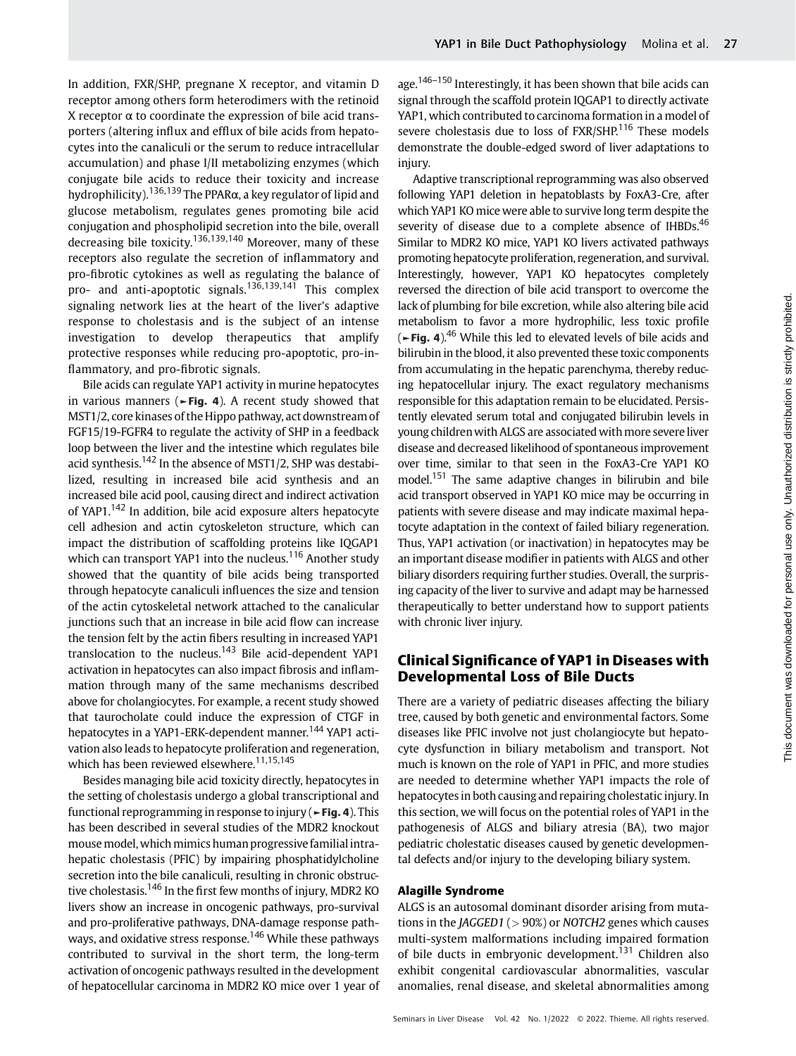In addition, FXR/SHP, pregnane X receptor, and vitamin D receptor among others form heterodimers with the retinoid X receptor  $\alpha$  to coordinate the expression of bile acid transporters (altering influx and efflux of bile acids from hepatocytes into the canaliculi or the serum to reduce intracellular accumulation) and phase I/II metabolizing enzymes (which conjugate bile acids to reduce their toxicity and increase hydrophilicity).<sup>136,139</sup> The PPARα, a key regulator of lipid and glucose metabolism, regulates genes promoting bile acid conjugation and phospholipid secretion into the bile, overall decreasing bile toxicity.136,139,140 Moreover, many of these receptors also regulate the secretion of inflammatory and pro-fibrotic cytokines as well as regulating the balance of pro- and anti-apoptotic signals.<sup>136,139,141</sup> This complex signaling network lies at the heart of the liver's adaptive response to cholestasis and is the subject of an intense investigation to develop therapeutics that amplify protective responses while reducing pro-apoptotic, pro-inflammatory, and pro-fibrotic signals.

Bile acids can regulate YAP1 activity in murine hepatocytes in various manners ( $\blacktriangleright$ Fig. 4). A recent study showed that MST1/2, core kinases of the Hippo pathway, act downstream of FGF15/19-FGFR4 to regulate the activity of SHP in a feedback loop between the liver and the intestine which regulates bile acid synthesis.<sup>142</sup> In the absence of MST1/2, SHP was destabilized, resulting in increased bile acid synthesis and an increased bile acid pool, causing direct and indirect activation of YAP1.<sup>142</sup> In addition, bile acid exposure alters hepatocyte cell adhesion and actin cytoskeleton structure, which can impact the distribution of scaffolding proteins like IQGAP1 which can transport YAP1 into the nucleus.<sup>116</sup> Another study showed that the quantity of bile acids being transported through hepatocyte canaliculi influences the size and tension of the actin cytoskeletal network attached to the canalicular junctions such that an increase in bile acid flow can increase the tension felt by the actin fibers resulting in increased YAP1 translocation to the nucleus.<sup>143</sup> Bile acid-dependent YAP1 activation in hepatocytes can also impact fibrosis and inflammation through many of the same mechanisms described above for cholangiocytes. For example, a recent study showed that taurocholate could induce the expression of CTGF in hepatocytes in a YAP1-ERK-dependent manner.<sup>144</sup> YAP1 activation also leads to hepatocyte proliferation and regeneration, which has been reviewed elsewhere.<sup>11,15,145</sup>

Besides managing bile acid toxicity directly, hepatocytes in the setting of cholestasis undergo a global transcriptional and functional reprogramming in response to injury ( $\blacktriangleright$  Fig. 4). This has been described in several studies of the MDR2 knockout mouse model, which mimics human progressive familial intrahepatic cholestasis (PFIC) by impairing phosphatidylcholine secretion into the bile canaliculi, resulting in chronic obstructive cholestasis.<sup>146</sup> In the first few months of injury, MDR2 KO livers show an increase in oncogenic pathways, pro-survival and pro-proliferative pathways, DNA-damage response pathways, and oxidative stress response.<sup>146</sup> While these pathways contributed to survival in the short term, the long-term activation of oncogenic pathways resulted in the development of hepatocellular carcinoma in MDR2 KO mice over 1 year of age.<sup>146–150</sup> Interestingly, it has been shown that bile acids can signal through the scaffold protein IQGAP1 to directly activate YAP1, which contributed to carcinoma formation in a model of severe cholestasis due to loss of FXR/SHP.<sup>116</sup> These models demonstrate the double-edged sword of liver adaptations to injury.

Adaptive transcriptional reprogramming was also observed following YAP1 deletion in hepatoblasts by FoxA3-Cre, after which YAP1 KO mice were able to survive long term despite the severity of disease due to a complete absence of IHBDs. $46$ Similar to MDR2 KO mice, YAP1 KO livers activated pathways promoting hepatocyte proliferation, regeneration, and survival. Interestingly, however, YAP1 KO hepatocytes completely reversed the direction of bile acid transport to overcome the lack of plumbing for bile excretion, while also altering bile acid metabolism to favor a more hydrophilic, less toxic profile ( $\blacktriangleright$  Fig. 4).<sup>46</sup> While this led to elevated levels of bile acids and bilirubin in the blood, it also prevented these toxic components from accumulating in the hepatic parenchyma, thereby reducing hepatocellular injury. The exact regulatory mechanisms responsible for this adaptation remain to be elucidated. Persistently elevated serum total and conjugated bilirubin levels in young children with ALGS are associated with more severe liver disease and decreased likelihood of spontaneous improvement over time, similar to that seen in the FoxA3-Cre YAP1 KO model.<sup>151</sup> The same adaptive changes in bilirubin and bile acid transport observed in YAP1 KO mice may be occurring in patients with severe disease and may indicate maximal hepatocyte adaptation in the context of failed biliary regeneration. Thus, YAP1 activation (or inactivation) in hepatocytes may be an important disease modifier in patients with ALGS and other biliary disorders requiring further studies. Overall, the surprising capacity of the liver to survive and adapt may be harnessed therapeutically to better understand how to support patients with chronic liver injury.

# Clinical Significance of YAP1 in Diseases with Developmental Loss of Bile Ducts

There are a variety of pediatric diseases affecting the biliary tree, caused by both genetic and environmental factors. Some diseases like PFIC involve not just cholangiocyte but hepatocyte dysfunction in biliary metabolism and transport. Not much is known on the role of YAP1 in PFIC, and more studies are needed to determine whether YAP1 impacts the role of hepatocytes in both causing and repairing cholestatic injury. In this section, we will focus on the potential roles of YAP1 in the pathogenesis of ALGS and biliary atresia (BA), two major pediatric cholestatic diseases caused by genetic developmental defects and/or injury to the developing biliary system.

#### Alagille Syndrome

ALGS is an autosomal dominant disorder arising from mutations in the *JAGGED1* ( $>90\%$ ) or *NOTCH2* genes which causes multi-system malformations including impaired formation of bile ducts in embryonic development.<sup>131</sup> Children also exhibit congenital cardiovascular abnormalities, vascular anomalies, renal disease, and skeletal abnormalities among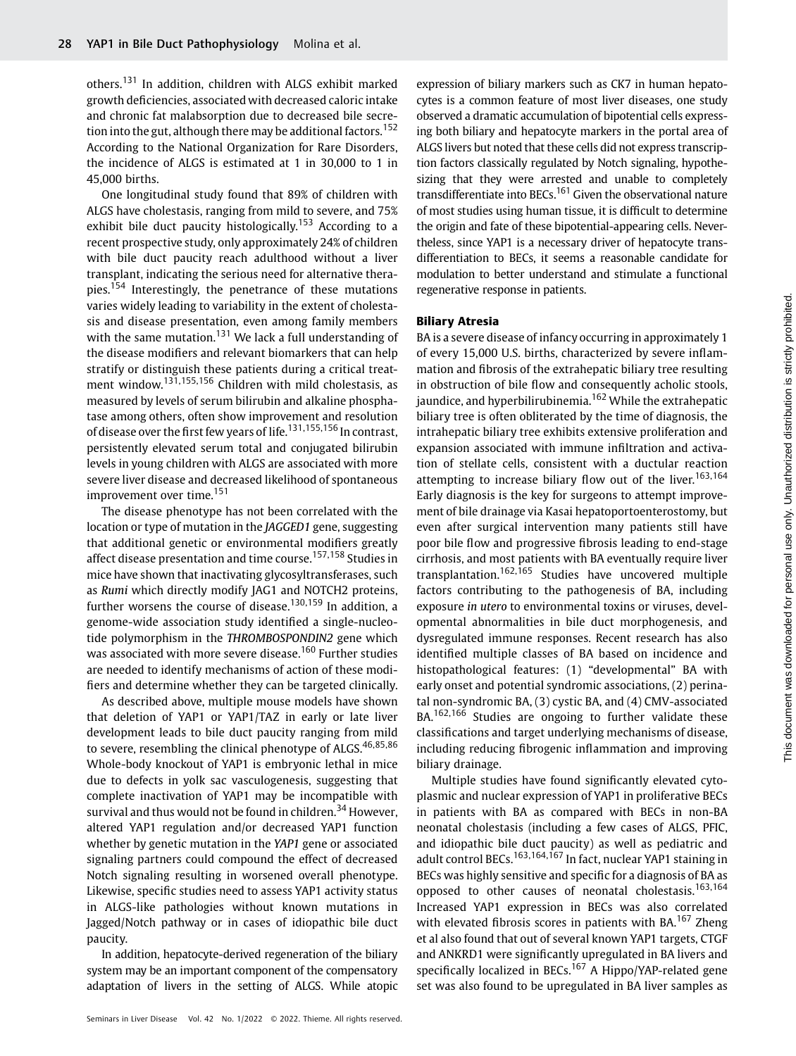others.<sup>131</sup> In addition, children with ALGS exhibit marked growth deficiencies, associated with decreased caloric intake and chronic fat malabsorption due to decreased bile secretion into the gut, although there may be additional factors.<sup>152</sup> According to the National Organization for Rare Disorders, the incidence of ALGS is estimated at 1 in 30,000 to 1 in 45,000 births.

One longitudinal study found that 89% of children with ALGS have cholestasis, ranging from mild to severe, and 75% exhibit bile duct paucity histologically.<sup>153</sup> According to a recent prospective study, only approximately 24% of children with bile duct paucity reach adulthood without a liver transplant, indicating the serious need for alternative therapies.<sup>154</sup> Interestingly, the penetrance of these mutations varies widely leading to variability in the extent of cholestasis and disease presentation, even among family members with the same mutation.<sup>131</sup> We lack a full understanding of the disease modifiers and relevant biomarkers that can help stratify or distinguish these patients during a critical treatment window.<sup>131,155,156</sup> Children with mild cholestasis, as measured by levels of serum bilirubin and alkaline phosphatase among others, often show improvement and resolution of disease over the first few years of life.<sup>131,155,156</sup> In contrast, persistently elevated serum total and conjugated bilirubin levels in young children with ALGS are associated with more severe liver disease and decreased likelihood of spontaneous improvement over time.<sup>151</sup>

The disease phenotype has not been correlated with the location or type of mutation in the JAGGED1 gene, suggesting that additional genetic or environmental modifiers greatly affect disease presentation and time course.<sup>157,158</sup> Studies in mice have shown that inactivating glycosyltransferases, such as Rumi which directly modify JAG1 and NOTCH2 proteins, further worsens the course of disease.<sup>130,159</sup> In addition, a genome-wide association study identified a single-nucleotide polymorphism in the THROMBOSPONDIN2 gene which was associated with more severe disease.<sup>160</sup> Further studies are needed to identify mechanisms of action of these modifiers and determine whether they can be targeted clinically.

As described above, multiple mouse models have shown that deletion of YAP1 or YAP1/TAZ in early or late liver development leads to bile duct paucity ranging from mild to severe, resembling the clinical phenotype of ALGS.<sup>46,85,86</sup> Whole-body knockout of YAP1 is embryonic lethal in mice due to defects in yolk sac vasculogenesis, suggesting that complete inactivation of YAP1 may be incompatible with survival and thus would not be found in children.<sup>34</sup> However, altered YAP1 regulation and/or decreased YAP1 function whether by genetic mutation in the YAP1 gene or associated signaling partners could compound the effect of decreased Notch signaling resulting in worsened overall phenotype. Likewise, specific studies need to assess YAP1 activity status in ALGS-like pathologies without known mutations in Jagged/Notch pathway or in cases of idiopathic bile duct paucity.

In addition, hepatocyte-derived regeneration of the biliary system may be an important component of the compensatory adaptation of livers in the setting of ALGS. While atopic expression of biliary markers such as CK7 in human hepatocytes is a common feature of most liver diseases, one study observed a dramatic accumulation of bipotential cells expressing both biliary and hepatocyte markers in the portal area of ALGS livers but noted that these cells did not express transcription factors classically regulated by Notch signaling, hypothesizing that they were arrested and unable to completely transdifferentiate into BECs.<sup>161</sup> Given the observational nature of most studies using human tissue, it is difficult to determine the origin and fate of these bipotential-appearing cells. Nevertheless, since YAP1 is a necessary driver of hepatocyte transdifferentiation to BECs, it seems a reasonable candidate for modulation to better understand and stimulate a functional regenerative response in patients.

#### Biliary Atresia

BA is a severe disease of infancy occurring in approximately 1 of every 15,000 U.S. births, characterized by severe inflammation and fibrosis of the extrahepatic biliary tree resulting in obstruction of bile flow and consequently acholic stools, jaundice, and hyperbilirubinemia.<sup>162</sup> While the extrahepatic biliary tree is often obliterated by the time of diagnosis, the intrahepatic biliary tree exhibits extensive proliferation and expansion associated with immune infiltration and activation of stellate cells, consistent with a ductular reaction attempting to increase biliary flow out of the liver.<sup>163,164</sup> Early diagnosis is the key for surgeons to attempt improvement of bile drainage via Kasai hepatoportoenterostomy, but even after surgical intervention many patients still have poor bile flow and progressive fibrosis leading to end-stage cirrhosis, and most patients with BA eventually require liver transplantation.162,165 Studies have uncovered multiple factors contributing to the pathogenesis of BA, including exposure in utero to environmental toxins or viruses, developmental abnormalities in bile duct morphogenesis, and dysregulated immune responses. Recent research has also identified multiple classes of BA based on incidence and histopathological features: (1) "developmental" BA with early onset and potential syndromic associations, (2) perinatal non-syndromic BA, (3) cystic BA, and (4) CMV-associated BA.<sup>162,166</sup> Studies are ongoing to further validate these classifications and target underlying mechanisms of disease, including reducing fibrogenic inflammation and improving biliary drainage.

Multiple studies have found significantly elevated cytoplasmic and nuclear expression of YAP1 in proliferative BECs in patients with BA as compared with BECs in non-BA neonatal cholestasis (including a few cases of ALGS, PFIC, and idiopathic bile duct paucity) as well as pediatric and adult control BECs.<sup>163,164,167</sup> In fact, nuclear YAP1 staining in BECs was highly sensitive and specific for a diagnosis of BA as opposed to other causes of neonatal cholestasis.<sup>163,164</sup> Increased YAP1 expression in BECs was also correlated with elevated fibrosis scores in patients with  $BA<sup>167</sup>$  Zheng et al also found that out of several known YAP1 targets, CTGF and ANKRD1 were significantly upregulated in BA livers and specifically localized in BECs.<sup>167</sup> A Hippo/YAP-related gene set was also found to be upregulated in BA liver samples as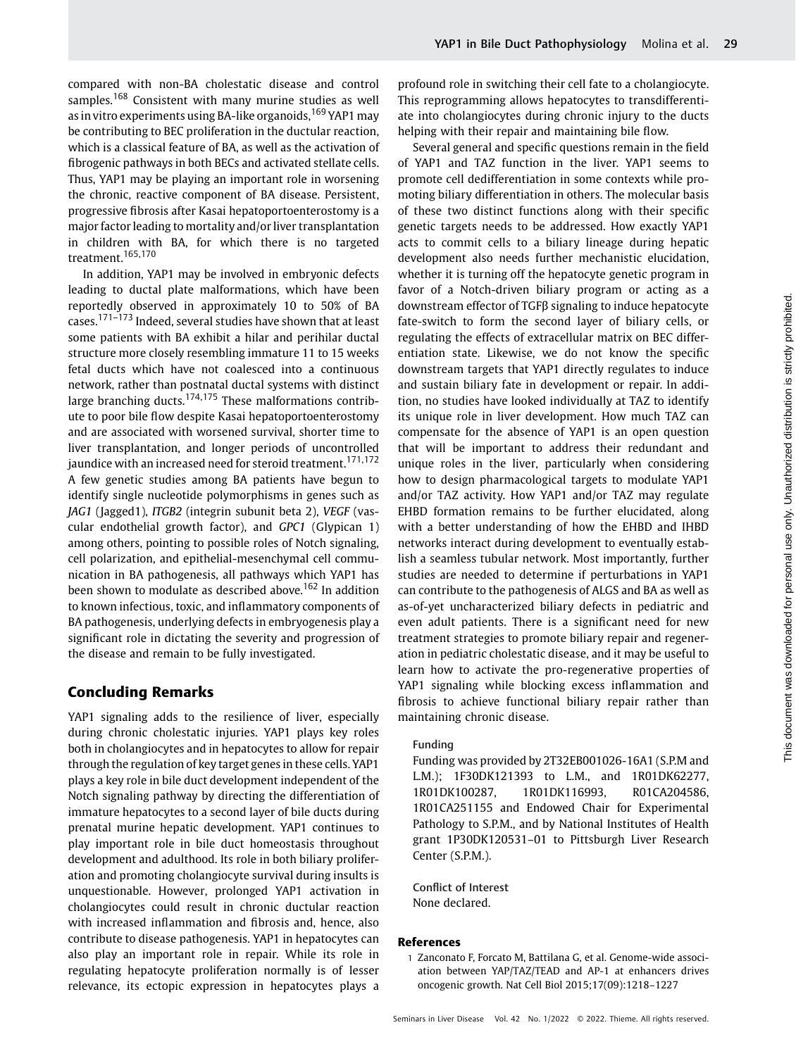compared with non-BA cholestatic disease and control samples.<sup>168</sup> Consistent with many murine studies as well as in vitro experiments using BA-like organoids, 169 YAP1 may be contributing to BEC proliferation in the ductular reaction, which is a classical feature of BA, as well as the activation of fibrogenic pathways in both BECs and activated stellate cells. Thus, YAP1 may be playing an important role in worsening the chronic, reactive component of BA disease. Persistent, progressive fibrosis after Kasai hepatoportoenterostomy is a major factor leading to mortality and/or liver transplantation in children with BA, for which there is no targeted treatment.165,170

In addition, YAP1 may be involved in embryonic defects leading to ductal plate malformations, which have been reportedly observed in approximately 10 to 50% of BA cases.171–<sup>173</sup> Indeed, several studies have shown that at least some patients with BA exhibit a hilar and perihilar ductal structure more closely resembling immature 11 to 15 weeks fetal ducts which have not coalesced into a continuous network, rather than postnatal ductal systems with distinct large branching ducts.<sup>174,175</sup> These malformations contribute to poor bile flow despite Kasai hepatoportoenterostomy and are associated with worsened survival, shorter time to liver transplantation, and longer periods of uncontrolled jaundice with an increased need for steroid treatment.<sup>171,172</sup> A few genetic studies among BA patients have begun to identify single nucleotide polymorphisms in genes such as JAG1 (Jagged1), ITGB2 (integrin subunit beta 2), VEGF (vascular endothelial growth factor), and GPC1 (Glypican 1) among others, pointing to possible roles of Notch signaling, cell polarization, and epithelial-mesenchymal cell communication in BA pathogenesis, all pathways which YAP1 has been shown to modulate as described above.<sup>162</sup> In addition to known infectious, toxic, and inflammatory components of BA pathogenesis, underlying defects in embryogenesis play a significant role in dictating the severity and progression of the disease and remain to be fully investigated.

# Concluding Remarks

YAP1 signaling adds to the resilience of liver, especially during chronic cholestatic injuries. YAP1 plays key roles both in cholangiocytes and in hepatocytes to allow for repair through the regulation of key target genes in these cells. YAP1 plays a key role in bile duct development independent of the Notch signaling pathway by directing the differentiation of immature hepatocytes to a second layer of bile ducts during prenatal murine hepatic development. YAP1 continues to play important role in bile duct homeostasis throughout development and adulthood. Its role in both biliary proliferation and promoting cholangiocyte survival during insults is unquestionable. However, prolonged YAP1 activation in cholangiocytes could result in chronic ductular reaction with increased inflammation and fibrosis and, hence, also contribute to disease pathogenesis. YAP1 in hepatocytes can also play an important role in repair. While its role in regulating hepatocyte proliferation normally is of lesser relevance, its ectopic expression in hepatocytes plays a

profound role in switching their cell fate to a cholangiocyte. This reprogramming allows hepatocytes to transdifferentiate into cholangiocytes during chronic injury to the ducts helping with their repair and maintaining bile flow.

Several general and specific questions remain in the field of YAP1 and TAZ function in the liver. YAP1 seems to promote cell dedifferentiation in some contexts while promoting biliary differentiation in others. The molecular basis of these two distinct functions along with their specific genetic targets needs to be addressed. How exactly YAP1 acts to commit cells to a biliary lineage during hepatic development also needs further mechanistic elucidation, whether it is turning off the hepatocyte genetic program in favor of a Notch-driven biliary program or acting as a downstream effector of TGFβ signaling to induce hepatocyte fate-switch to form the second layer of biliary cells, or regulating the effects of extracellular matrix on BEC differentiation state. Likewise, we do not know the specific downstream targets that YAP1 directly regulates to induce and sustain biliary fate in development or repair. In addition, no studies have looked individually at TAZ to identify its unique role in liver development. How much TAZ can compensate for the absence of YAP1 is an open question that will be important to address their redundant and unique roles in the liver, particularly when considering how to design pharmacological targets to modulate YAP1 and/or TAZ activity. How YAP1 and/or TAZ may regulate EHBD formation remains to be further elucidated, along with a better understanding of how the EHBD and IHBD networks interact during development to eventually establish a seamless tubular network. Most importantly, further studies are needed to determine if perturbations in YAP1 can contribute to the pathogenesis of ALGS and BA as well as as-of-yet uncharacterized biliary defects in pediatric and even adult patients. There is a significant need for new treatment strategies to promote biliary repair and regeneration in pediatric cholestatic disease, and it may be useful to learn how to activate the pro-regenerative properties of YAP1 signaling while blocking excess inflammation and fibrosis to achieve functional biliary repair rather than maintaining chronic disease.

#### Funding

Funding was provided by 2T32EB001026-16A1 (S.P.M and L.M.); 1F30DK121393 to L.M., and 1R01DK62277, 1R01DK100287, 1R01DK116993, R01CA204586, 1R01CA251155 and Endowed Chair for Experimental Pathology to S.P.M., and by National Institutes of Health grant 1P30DK120531–01 to Pittsburgh Liver Research Center (S.P.M.).

Conflict of Interest None declared.

#### References

1 Zanconato F, Forcato M, Battilana G, et al. Genome-wide association between YAP/TAZ/TEAD and AP-1 at enhancers drives oncogenic growth. Nat Cell Biol 2015;17(09):1218–1227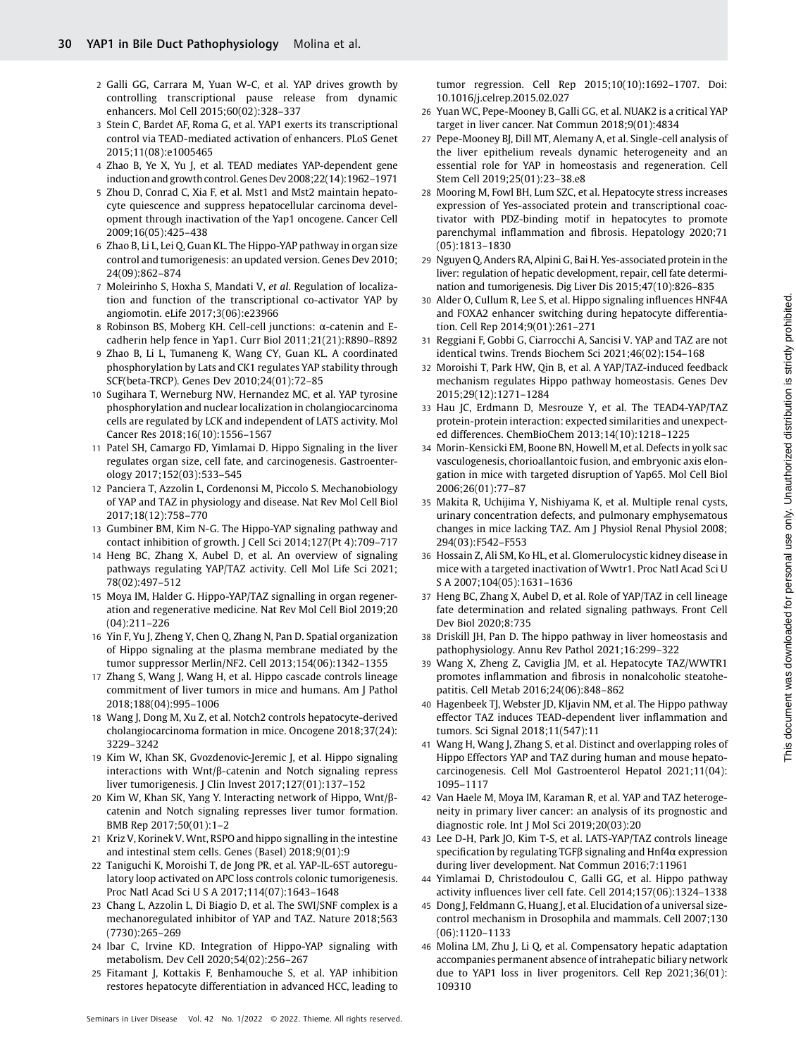- 2 Galli GG, Carrara M, Yuan W-C, et al. YAP drives growth by controlling transcriptional pause release from dynamic enhancers. Mol Cell 2015;60(02):328–337
- 3 Stein C, Bardet AF, Roma G, et al. YAP1 exerts its transcriptional control via TEAD-mediated activation of enhancers. PLoS Genet 2015;11(08):e1005465
- 4 Zhao B, Ye X, Yu J, et al. TEAD mediates YAP-dependent gene induction and growth control. Genes Dev 2008;22(14):1962–1971
- 5 Zhou D, Conrad C, Xia F, et al. Mst1 and Mst2 maintain hepatocyte quiescence and suppress hepatocellular carcinoma development through inactivation of the Yap1 oncogene. Cancer Cell 2009;16(05):425–438
- 6 Zhao B, Li L, Lei Q, Guan KL. The Hippo-YAP pathway in organ size control and tumorigenesis: an updated version. Genes Dev 2010; 24(09):862–874
- 7 Moleirinho S, Hoxha S, Mandati V, et al. Regulation of localization and function of the transcriptional co-activator YAP by angiomotin. eLife 2017;3(06):e23966
- 8 Robinson BS, Moberg KH. Cell-cell junctions: α-catenin and Ecadherin help fence in Yap1. Curr Biol 2011;21(21):R890–R892
- 9 Zhao B, Li L, Tumaneng K, Wang CY, Guan KL. A coordinated phosphorylation by Lats and CK1 regulates YAP stability through SCF(beta-TRCP). Genes Dev 2010;24(01):72–85
- 10 Sugihara T, Werneburg NW, Hernandez MC, et al. YAP tyrosine phosphorylation and nuclear localization in cholangiocarcinoma cells are regulated by LCK and independent of LATS activity. Mol Cancer Res 2018;16(10):1556–1567
- 11 Patel SH, Camargo FD, Yimlamai D. Hippo Signaling in the liver regulates organ size, cell fate, and carcinogenesis. Gastroenterology 2017;152(03):533–545
- 12 Panciera T, Azzolin L, Cordenonsi M, Piccolo S. Mechanobiology of YAP and TAZ in physiology and disease. Nat Rev Mol Cell Biol 2017;18(12):758–770
- 13 Gumbiner BM, Kim N-G. The Hippo-YAP signaling pathway and contact inhibition of growth. J Cell Sci 2014;127(Pt 4):709–717
- 14 Heng BC, Zhang X, Aubel D, et al. An overview of signaling pathways regulating YAP/TAZ activity. Cell Mol Life Sci 2021; 78(02):497–512
- 15 Moya IM, Halder G. Hippo-YAP/TAZ signalling in organ regeneration and regenerative medicine. Nat Rev Mol Cell Biol 2019;20 (04):211–226
- 16 Yin F, Yu J, Zheng Y, Chen Q, Zhang N, Pan D. Spatial organization of Hippo signaling at the plasma membrane mediated by the tumor suppressor Merlin/NF2. Cell 2013;154(06):1342–1355
- 17 Zhang S, Wang J, Wang H, et al. Hippo cascade controls lineage commitment of liver tumors in mice and humans. Am J Pathol 2018;188(04):995–1006
- 18 Wang J, Dong M, Xu Z, et al. Notch2 controls hepatocyte-derived cholangiocarcinoma formation in mice. Oncogene 2018;37(24): 3229–3242
- 19 Kim W, Khan SK, Gvozdenovic-Jeremic J, et al. Hippo signaling interactions with Wnt/β-catenin and Notch signaling repress liver tumorigenesis. J Clin Invest 2017;127(01):137–152
- 20 Kim W, Khan SK, Yang Y. Interacting network of Hippo, Wnt/βcatenin and Notch signaling represses liver tumor formation. BMB Rep 2017;50(01):1–2
- 21 Kriz V, Korinek V. Wnt, RSPO and hippo signalling in the intestine and intestinal stem cells. Genes (Basel) 2018;9(01):9
- 22 Taniguchi K, Moroishi T, de Jong PR, et al. YAP-IL-6ST autoregulatory loop activated on APC loss controls colonic tumorigenesis. Proc Natl Acad Sci U S A 2017;114(07):1643–1648
- 23 Chang L, Azzolin L, Di Biagio D, et al. The SWI/SNF complex is a mechanoregulated inhibitor of YAP and TAZ. Nature 2018;563 (7730):265–269
- 24 Ibar C, Irvine KD. Integration of Hippo-YAP signaling with metabolism. Dev Cell 2020;54(02):256–267
- 25 Fitamant J, Kottakis F, Benhamouche S, et al. YAP inhibition restores hepatocyte differentiation in advanced HCC, leading to

tumor regression. Cell Rep 2015;10(10):1692–1707. Doi: 10.1016/j.celrep.2015.02.027

- 26 Yuan WC, Pepe-Mooney B, Galli GG, et al. NUAK2 is a critical YAP target in liver cancer. Nat Commun 2018;9(01):4834
- 27 Pepe-Mooney BJ, Dill MT, Alemany A, et al. Single-cell analysis of the liver epithelium reveals dynamic heterogeneity and an essential role for YAP in homeostasis and regeneration. Cell Stem Cell 2019;25(01):23–38.e8
- 28 Mooring M, Fowl BH, Lum SZC, et al. Hepatocyte stress increases expression of Yes-associated protein and transcriptional coactivator with PDZ-binding motif in hepatocytes to promote parenchymal inflammation and fibrosis. Hepatology 2020;71 (05):1813–1830
- 29 Nguyen Q, Anders RA, Alpini G, Bai H. Yes-associated protein in the liver: regulation of hepatic development, repair, cell fate determination and tumorigenesis. Dig Liver Dis 2015;47(10):826–835
- 30 Alder O, Cullum R, Lee S, et al. Hippo signaling influences HNF4A and FOXA2 enhancer switching during hepatocyte differentiation. Cell Rep 2014;9(01):261–271
- 31 Reggiani F, Gobbi G, Ciarrocchi A, Sancisi V. YAP and TAZ are not identical twins. Trends Biochem Sci 2021;46(02):154–168
- 32 Moroishi T, Park HW, Qin B, et al. A YAP/TAZ-induced feedback mechanism regulates Hippo pathway homeostasis. Genes Dev 2015;29(12):1271–1284
- 33 Hau JC, Erdmann D, Mesrouze Y, et al. The TEAD4-YAP/TAZ protein-protein interaction: expected similarities and unexpected differences. ChemBioChem 2013;14(10):1218–1225
- 34 Morin-Kensicki EM, Boone BN, Howell M, et al. Defects in yolk sac vasculogenesis, chorioallantoic fusion, and embryonic axis elongation in mice with targeted disruption of Yap65. Mol Cell Biol 2006;26(01):77–87
- 35 Makita R, Uchijima Y, Nishiyama K, et al. Multiple renal cysts, urinary concentration defects, and pulmonary emphysematous changes in mice lacking TAZ. Am J Physiol Renal Physiol 2008; 294(03):F542–F553
- 36 Hossain Z, Ali SM, Ko HL, et al. Glomerulocystic kidney disease in mice with a targeted inactivation of Wwtr1. Proc Natl Acad Sci U S A 2007;104(05):1631–1636
- 37 Heng BC, Zhang X, Aubel D, et al. Role of YAP/TAZ in cell lineage fate determination and related signaling pathways. Front Cell Dev Biol 2020;8:735
- 38 Driskill JH, Pan D. The hippo pathway in liver homeostasis and pathophysiology. Annu Rev Pathol 2021;16:299–322
- 39 Wang X, Zheng Z, Caviglia JM, et al. Hepatocyte TAZ/WWTR1 promotes inflammation and fibrosis in nonalcoholic steatohepatitis. Cell Metab 2016;24(06):848–862
- 40 Hagenbeek TJ, Webster JD, Kljavin NM, et al. The Hippo pathway effector TAZ induces TEAD-dependent liver inflammation and tumors. Sci Signal 2018;11(547):11
- 41 Wang H, Wang J, Zhang S, et al. Distinct and overlapping roles of Hippo Effectors YAP and TAZ during human and mouse hepatocarcinogenesis. Cell Mol Gastroenterol Hepatol 2021;11(04): 1095–1117
- 42 Van Haele M, Moya IM, Karaman R, et al. YAP and TAZ heterogeneity in primary liver cancer: an analysis of its prognostic and diagnostic role. Int J Mol Sci 2019;20(03):20
- 43 Lee D-H, Park JO, Kim T-S, et al. LATS-YAP/TAZ controls lineage specification by regulating TGFβ signaling and Hnf4α expression during liver development. Nat Commun 2016;7:11961
- 44 Yimlamai D, Christodoulou C, Galli GG, et al. Hippo pathway activity influences liver cell fate. Cell 2014;157(06):1324–1338
- 45 Dong J, Feldmann G, Huang J, et al. Elucidation of a universal sizecontrol mechanism in Drosophila and mammals. Cell 2007;130 (06):1120–1133
- 46 Molina LM, Zhu J, Li Q, et al. Compensatory hepatic adaptation accompanies permanent absence of intrahepatic biliary network due to YAP1 loss in liver progenitors. Cell Rep 2021;36(01): 109310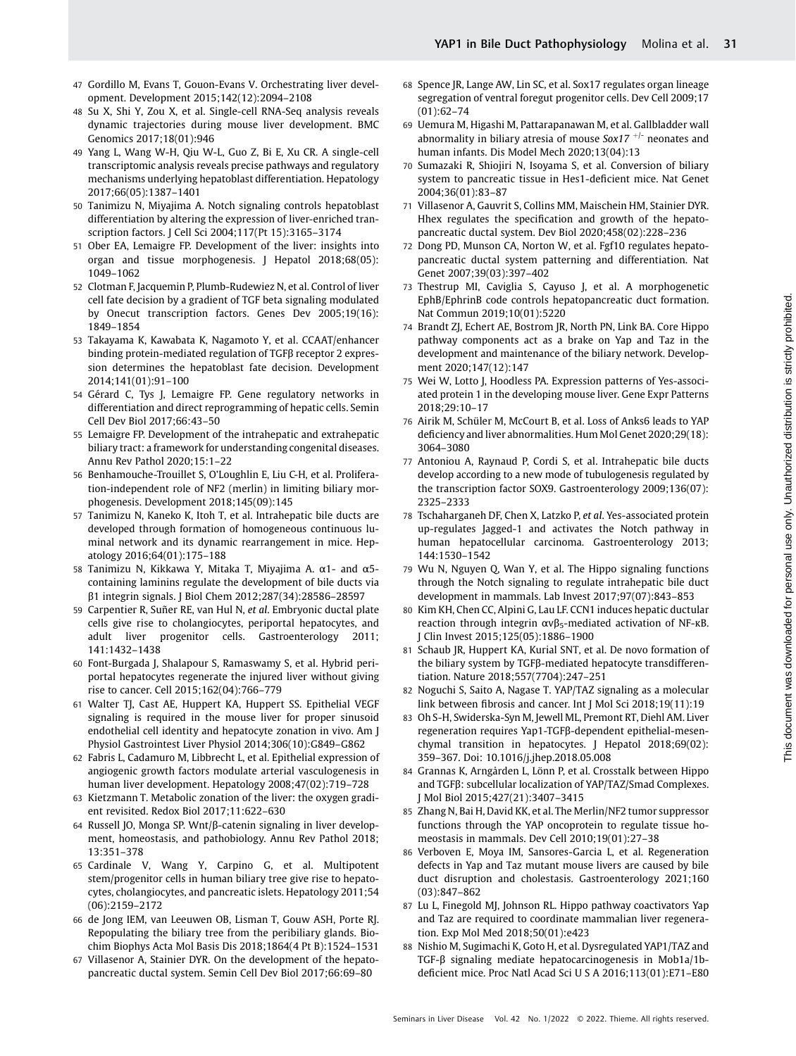- 47 Gordillo M, Evans T, Gouon-Evans V. Orchestrating liver development. Development 2015;142(12):2094–2108
- 48 Su X, Shi Y, Zou X, et al. Single-cell RNA-Seq analysis reveals dynamic trajectories during mouse liver development. BMC Genomics 2017;18(01):946
- 49 Yang L, Wang W-H, Qiu W-L, Guo Z, Bi E, Xu CR. A single-cell transcriptomic analysis reveals precise pathways and regulatory mechanisms underlying hepatoblast differentiation. Hepatology 2017;66(05):1387–1401
- 50 Tanimizu N, Miyajima A. Notch signaling controls hepatoblast differentiation by altering the expression of liver-enriched transcription factors. J Cell Sci 2004;117(Pt 15):3165–3174
- 51 Ober EA, Lemaigre FP. Development of the liver: insights into organ and tissue morphogenesis. J Hepatol 2018;68(05): 1049–1062
- 52 Clotman F, Jacquemin P, Plumb-Rudewiez N, et al. Control of liver cell fate decision by a gradient of TGF beta signaling modulated by Onecut transcription factors. Genes Dev 2005;19(16): 1849–1854
- 53 Takayama K, Kawabata K, Nagamoto Y, et al. CCAAT/enhancer binding protein-mediated regulation of TGFβ receptor 2 expression determines the hepatoblast fate decision. Development 2014;141(01):91–100
- 54 Gérard C, Tys J, Lemaigre FP. Gene regulatory networks in differentiation and direct reprogramming of hepatic cells. Semin Cell Dev Biol 2017;66:43–50
- 55 Lemaigre FP. Development of the intrahepatic and extrahepatic biliary tract: a framework for understanding congenital diseases. Annu Rev Pathol 2020;15:1–22
- 56 Benhamouche-Trouillet S, O'Loughlin E, Liu C-H, et al. Proliferation-independent role of NF2 (merlin) in limiting biliary morphogenesis. Development 2018;145(09):145
- 57 Tanimizu N, Kaneko K, Itoh T, et al. Intrahepatic bile ducts are developed through formation of homogeneous continuous luminal network and its dynamic rearrangement in mice. Hepatology 2016;64(01):175–188
- 58 Tanimizu N, Kikkawa Y, Mitaka T, Miyajima A. α1- and α5 containing laminins regulate the development of bile ducts via β1 integrin signals. J Biol Chem 2012;287(34):28586–28597
- 59 Carpentier R, Suñer RE, van Hul N, et al. Embryonic ductal plate cells give rise to cholangiocytes, periportal hepatocytes, and adult liver progenitor cells. Gastroenterology 2011; 141:1432–1438
- 60 Font-Burgada J, Shalapour S, Ramaswamy S, et al. Hybrid periportal hepatocytes regenerate the injured liver without giving rise to cancer. Cell 2015;162(04):766–779
- 61 Walter TJ, Cast AE, Huppert KA, Huppert SS. Epithelial VEGF signaling is required in the mouse liver for proper sinusoid endothelial cell identity and hepatocyte zonation in vivo. Am J Physiol Gastrointest Liver Physiol 2014;306(10):G849–G862
- 62 Fabris L, Cadamuro M, Libbrecht L, et al. Epithelial expression of angiogenic growth factors modulate arterial vasculogenesis in human liver development. Hepatology 2008;47(02):719–728
- 63 Kietzmann T. Metabolic zonation of the liver: the oxygen gradient revisited. Redox Biol 2017;11:622–630
- 64 Russell JO, Monga SP. Wnt/β-catenin signaling in liver development, homeostasis, and pathobiology. Annu Rev Pathol 2018; 13:351–378
- 65 Cardinale V, Wang Y, Carpino G, et al. Multipotent stem/progenitor cells in human biliary tree give rise to hepatocytes, cholangiocytes, and pancreatic islets. Hepatology 2011;54 (06):2159–2172
- 66 de Jong IEM, van Leeuwen OB, Lisman T, Gouw ASH, Porte RJ. Repopulating the biliary tree from the peribiliary glands. Biochim Biophys Acta Mol Basis Dis 2018;1864(4 Pt B):1524–1531
- 67 Villasenor A, Stainier DYR. On the development of the hepatopancreatic ductal system. Semin Cell Dev Biol 2017;66:69–80
- 68 Spence JR, Lange AW, Lin SC, et al. Sox17 regulates organ lineage segregation of ventral foregut progenitor cells. Dev Cell 2009;17 (01):62–74
- 69 Uemura M, Higashi M, Pattarapanawan M, et al. Gallbladder wall abnormality in biliary atresia of mouse  $Sox17$ <sup>+/-</sup> neonates and human infants. Dis Model Mech 2020;13(04):13
- 70 Sumazaki R, Shiojiri N, Isoyama S, et al. Conversion of biliary system to pancreatic tissue in Hes1-deficient mice. Nat Genet 2004;36(01):83–87
- 71 Villasenor A, Gauvrit S, Collins MM, Maischein HM, Stainier DYR. Hhex regulates the specification and growth of the hepatopancreatic ductal system. Dev Biol 2020;458(02):228–236
- 72 Dong PD, Munson CA, Norton W, et al. Fgf10 regulates hepatopancreatic ductal system patterning and differentiation. Nat Genet 2007;39(03):397–402
- 73 Thestrup MI, Caviglia S, Cayuso J, et al. A morphogenetic EphB/EphrinB code controls hepatopancreatic duct formation. Nat Commun 2019;10(01):5220
- 74 Brandt ZJ, Echert AE, Bostrom JR, North PN, Link BA. Core Hippo pathway components act as a brake on Yap and Taz in the development and maintenance of the biliary network. Development 2020;147(12):147
- 75 Wei W, Lotto J, Hoodless PA. Expression patterns of Yes-associated protein 1 in the developing mouse liver. Gene Expr Patterns 2018;29:10–17
- 76 Airik M, Schüler M, McCourt B, et al. Loss of Anks6 leads to YAP deficiency and liver abnormalities. Hum Mol Genet 2020;29(18): 3064–3080
- 77 Antoniou A, Raynaud P, Cordi S, et al. Intrahepatic bile ducts develop according to a new mode of tubulogenesis regulated by the transcription factor SOX9. Gastroenterology 2009;136(07): 2325–2333
- 78 Tschaharganeh DF, Chen X, Latzko P, et al. Yes-associated protein up-regulates Jagged-1 and activates the Notch pathway in human hepatocellular carcinoma. Gastroenterology 2013; 144:1530–1542
- 79 Wu N, Nguyen Q, Wan Y, et al. The Hippo signaling functions through the Notch signaling to regulate intrahepatic bile duct development in mammals. Lab Invest 2017;97(07):843–853
- 80 Kim KH, Chen CC, Alpini G, Lau LF. CCN1 induces hepatic ductular reaction through integrin  $ανβ_5$ -mediated activation of NF-κB. J Clin Invest 2015;125(05):1886–1900
- 81 Schaub JR, Huppert KA, Kurial SNT, et al. De novo formation of the biliary system by TGFβ-mediated hepatocyte transdifferentiation. Nature 2018;557(7704):247–251
- 82 Noguchi S, Saito A, Nagase T. YAP/TAZ signaling as a molecular link between fibrosis and cancer. Int J Mol Sci 2018;19(11):19
- 83 Oh S-H, Swiderska-Syn M, Jewell ML, Premont RT, Diehl AM. Liver regeneration requires Yap1-TGFβ-dependent epithelial-mesenchymal transition in hepatocytes. J Hepatol 2018;69(02): 359–367. Doi: 10.1016/j.jhep.2018.05.008
- 84 Grannas K, Arngården L, Lönn P, et al. Crosstalk between Hippo and TGFβ: subcellular localization of YAP/TAZ/Smad Complexes. J Mol Biol 2015;427(21):3407–3415
- 85 Zhang N, Bai H, David KK, et al. The Merlin/NF2 tumor suppressor functions through the YAP oncoprotein to regulate tissue homeostasis in mammals. Dev Cell 2010;19(01):27–38
- 86 Verboven E, Moya IM, Sansores-Garcia L, et al. Regeneration defects in Yap and Taz mutant mouse livers are caused by bile duct disruption and cholestasis. Gastroenterology 2021;160 (03):847–862
- 87 Lu L, Finegold MJ, Johnson RL. Hippo pathway coactivators Yap and Taz are required to coordinate mammalian liver regeneration. Exp Mol Med 2018;50(01):e423
- 88 Nishio M, Sugimachi K, Goto H, et al. Dysregulated YAP1/TAZ and TGF-β signaling mediate hepatocarcinogenesis in Mob1a/1bdeficient mice. Proc Natl Acad Sci U S A 2016;113(01):E71–E80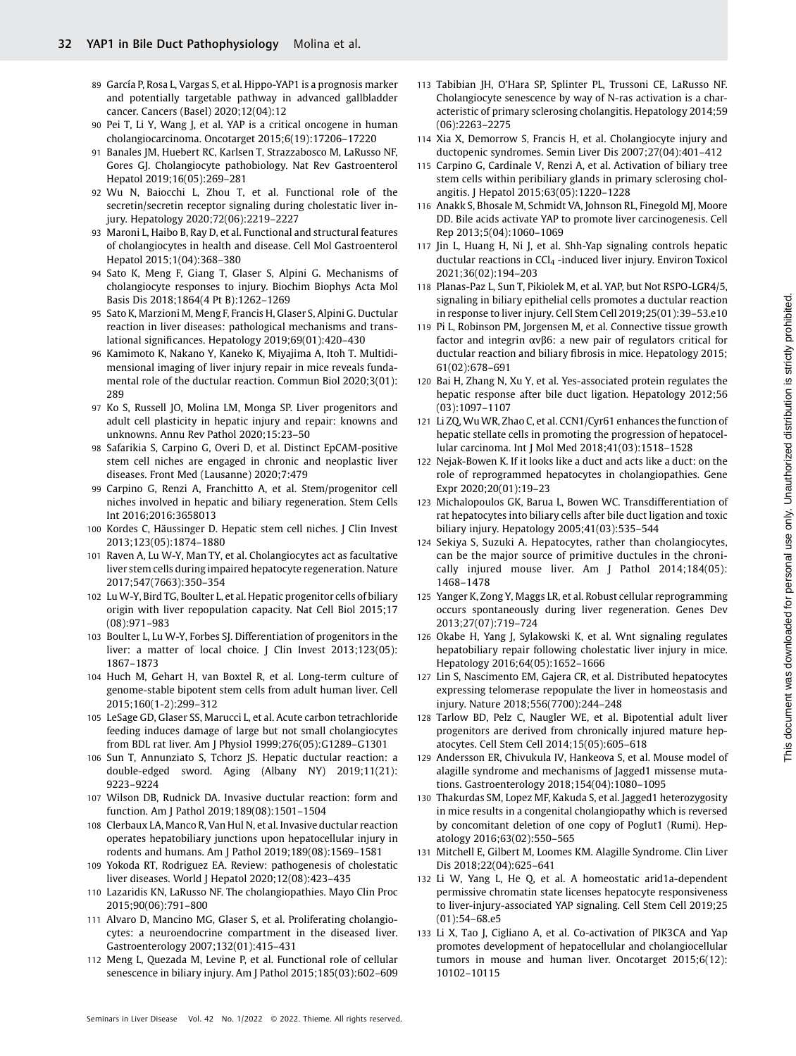- 89 García P, Rosa L, Vargas S, et al. Hippo-YAP1 is a prognosis marker and potentially targetable pathway in advanced gallbladder cancer. Cancers (Basel) 2020;12(04):12
- 90 Pei T, Li Y, Wang J, et al. YAP is a critical oncogene in human cholangiocarcinoma. Oncotarget 2015;6(19):17206–17220
- 91 Banales JM, Huebert RC, Karlsen T, Strazzabosco M, LaRusso NF, Gores GJ. Cholangiocyte pathobiology. Nat Rev Gastroenterol Hepatol 2019;16(05):269–281
- 92 Wu N, Baiocchi L, Zhou T, et al. Functional role of the secretin/secretin receptor signaling during cholestatic liver injury. Hepatology 2020;72(06):2219–2227
- 93 Maroni L, Haibo B, Ray D, et al. Functional and structural features of cholangiocytes in health and disease. Cell Mol Gastroenterol Hepatol 2015;1(04):368–380
- 94 Sato K, Meng F, Giang T, Glaser S, Alpini G. Mechanisms of cholangiocyte responses to injury. Biochim Biophys Acta Mol Basis Dis 2018;1864(4 Pt B):1262–1269
- 95 Sato K, Marzioni M, Meng F, Francis H, Glaser S, Alpini G. Ductular reaction in liver diseases: pathological mechanisms and translational significances. Hepatology 2019;69(01):420–430
- 96 Kamimoto K, Nakano Y, Kaneko K, Miyajima A, Itoh T. Multidimensional imaging of liver injury repair in mice reveals fundamental role of the ductular reaction. Commun Biol 2020;3(01): 289
- 97 Ko S, Russell JO, Molina LM, Monga SP. Liver progenitors and adult cell plasticity in hepatic injury and repair: knowns and unknowns. Annu Rev Pathol 2020;15:23–50
- 98 Safarikia S, Carpino G, Overi D, et al. Distinct EpCAM-positive stem cell niches are engaged in chronic and neoplastic liver diseases. Front Med (Lausanne) 2020;7:479
- 99 Carpino G, Renzi A, Franchitto A, et al. Stem/progenitor cell niches involved in hepatic and biliary regeneration. Stem Cells Int 2016;2016:3658013
- 100 Kordes C, Häussinger D. Hepatic stem cell niches. J Clin Invest 2013;123(05):1874–1880
- 101 Raven A, Lu W-Y, Man TY, et al. Cholangiocytes act as facultative liver stem cells during impaired hepatocyte regeneration. Nature 2017;547(7663):350–354
- 102 Lu W-Y, Bird TG, Boulter L, et al. Hepatic progenitor cells of biliary origin with liver repopulation capacity. Nat Cell Biol 2015;17 (08):971–983
- 103 Boulter L, Lu W-Y, Forbes SJ. Differentiation of progenitors in the liver: a matter of local choice. J Clin Invest 2013;123(05): 1867–1873
- 104 Huch M, Gehart H, van Boxtel R, et al. Long-term culture of genome-stable bipotent stem cells from adult human liver. Cell 2015;160(1-2):299–312
- 105 LeSage GD, Glaser SS, Marucci L, et al. Acute carbon tetrachloride feeding induces damage of large but not small cholangiocytes from BDL rat liver. Am J Physiol 1999;276(05):G1289–G1301
- 106 Sun T, Annunziato S, Tchorz JS. Hepatic ductular reaction: a double-edged sword. Aging (Albany NY) 2019;11(21): 9223–9224
- 107 Wilson DB, Rudnick DA. Invasive ductular reaction: form and function. Am J Pathol 2019;189(08):1501–1504
- 108 Clerbaux LA, Manco R, Van Hul N, et al. Invasive ductular reaction operates hepatobiliary junctions upon hepatocellular injury in rodents and humans. Am J Pathol 2019;189(08):1569–1581
- 109 Yokoda RT, Rodriguez EA. Review: pathogenesis of cholestatic liver diseases. World J Hepatol 2020;12(08):423–435
- 110 Lazaridis KN, LaRusso NF. The cholangiopathies. Mayo Clin Proc 2015;90(06):791–800
- 111 Alvaro D, Mancino MG, Glaser S, et al. Proliferating cholangiocytes: a neuroendocrine compartment in the diseased liver. Gastroenterology 2007;132(01):415–431
- 112 Meng L, Quezada M, Levine P, et al. Functional role of cellular senescence in biliary injury. Am J Pathol 2015;185(03):602–609
- 113 Tabibian JH, O'Hara SP, Splinter PL, Trussoni CE, LaRusso NF. Cholangiocyte senescence by way of N-ras activation is a characteristic of primary sclerosing cholangitis. Hepatology 2014;59 (06):2263–2275
- 114 Xia X, Demorrow S, Francis H, et al. Cholangiocyte injury and ductopenic syndromes. Semin Liver Dis 2007;27(04):401–412
- 115 Carpino G, Cardinale V, Renzi A, et al. Activation of biliary tree stem cells within peribiliary glands in primary sclerosing cholangitis. J Hepatol 2015;63(05):1220–1228
- 116 Anakk S, Bhosale M, Schmidt VA, Johnson RL, Finegold MJ, Moore DD. Bile acids activate YAP to promote liver carcinogenesis. Cell Rep 2013;5(04):1060–1069
- 117 Jin L, Huang H, Ni J, et al. Shh-Yap signaling controls hepatic ductular reactions in  $CCI<sub>4</sub>$ -induced liver injury. Environ Toxicol 2021;36(02):194–203
- 118 Planas-Paz L, Sun T, Pikiolek M, et al. YAP, but Not RSPO-LGR4/5, signaling in biliary epithelial cells promotes a ductular reaction in response to liver injury. Cell Stem Cell 2019;25(01):39–53.e10
- 119 Pi L, Robinson PM, Jorgensen M, et al. Connective tissue growth factor and integrin αvβ6: a new pair of regulators critical for ductular reaction and biliary fibrosis in mice. Hepatology 2015; 61(02):678–691
- 120 Bai H, Zhang N, Xu Y, et al. Yes-associated protein regulates the hepatic response after bile duct ligation. Hepatology 2012;56 (03):1097–1107
- 121 Li ZQ, WuWR, Zhao C, et al. CCN1/Cyr61 enhances the function of hepatic stellate cells in promoting the progression of hepatocellular carcinoma. Int J Mol Med 2018;41(03):1518–1528
- 122 Nejak-Bowen K. If it looks like a duct and acts like a duct: on the role of reprogrammed hepatocytes in cholangiopathies. Gene Expr 2020;20(01):19–23
- 123 Michalopoulos GK, Barua L, Bowen WC. Transdifferentiation of rat hepatocytes into biliary cells after bile duct ligation and toxic biliary injury. Hepatology 2005;41(03):535–544
- 124 Sekiya S, Suzuki A. Hepatocytes, rather than cholangiocytes, can be the major source of primitive ductules in the chronically injured mouse liver. Am J Pathol 2014;184(05): 1468–1478
- 125 Yanger K, Zong Y, Maggs LR, et al. Robust cellular reprogramming occurs spontaneously during liver regeneration. Genes Dev 2013;27(07):719–724
- 126 Okabe H, Yang J, Sylakowski K, et al. Wnt signaling regulates hepatobiliary repair following cholestatic liver injury in mice. Hepatology 2016;64(05):1652–1666
- 127 Lin S, Nascimento EM, Gajera CR, et al. Distributed hepatocytes expressing telomerase repopulate the liver in homeostasis and injury. Nature 2018;556(7700):244–248
- 128 Tarlow BD, Pelz C, Naugler WE, et al. Bipotential adult liver progenitors are derived from chronically injured mature hepatocytes. Cell Stem Cell 2014;15(05):605–618
- 129 Andersson ER, Chivukula IV, Hankeova S, et al. Mouse model of alagille syndrome and mechanisms of Jagged1 missense mutations. Gastroenterology 2018;154(04):1080–1095
- 130 Thakurdas SM, Lopez MF, Kakuda S, et al. Jagged1 heterozygosity in mice results in a congenital cholangiopathy which is reversed by concomitant deletion of one copy of Poglut1 (Rumi). Hepatology 2016;63(02):550–565
- 131 Mitchell E, Gilbert M, Loomes KM. Alagille Syndrome. Clin Liver Dis 2018;22(04):625–641
- 132 Li W, Yang L, He Q, et al. A homeostatic arid1a-dependent permissive chromatin state licenses hepatocyte responsiveness to liver-injury-associated YAP signaling. Cell Stem Cell 2019;25 (01):54–68.e5
- 133 Li X, Tao J, Cigliano A, et al. Co-activation of PIK3CA and Yap promotes development of hepatocellular and cholangiocellular tumors in mouse and human liver. Oncotarget 2015;6(12): 10102–10115